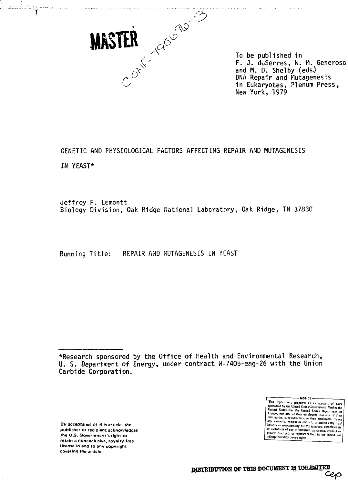

To be published in F. J. deSerres, W. M. Generoso and M. D. Shelby (eds.) DNA Repair and Mutagenesis in Eukaryotes, Plenum Press, New York, 1979

GENETIC AND PHYSIOLOGICAL FACTORS AFFECTING REPAIR AND MUTAGENESIS IN YEAST\*

Jeffrey F. Lemontt Biology Division, Oak Ridge National Laboratory, Oak Ridge, TN 37830

Running Title: REPAIR AND MUTAGENESIS IN YEAST

\*Research sponsored by the Office of Health and Environmental Research, U. S. Department of Energy, under contract W-7405-eng-26 with the Union Carbide Corporation.

By acceptance of this article, the publisher or recipient acknowledges the U.S. Government's right to retain a nonexclusive, royalty-free license in and to any copyright covering the article.

This report was prepared as an account of work<br>theorem of the present of the presented dy the United States Covernment. Neither the<br>United States row the burst States Dependent of<br>Energy, nor any of their employees, not an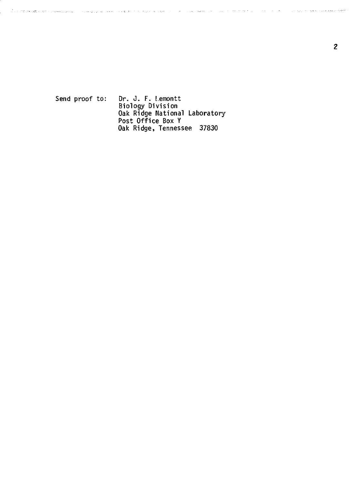**Send proof to: Dr. J. F. l.emontt Biology Division Oak Ridge National Laboratory Post Office Box Y Oak Ridge, Tennessee 37830**

 $\hat{\phi}$  ,  $\hat{\phi}$  ,  $\hat{\phi}$  ,  $\hat{\phi}$ 

in composition continu-

 $\mathcal{L}$ in and

.<br>Video anticamente della

line and the research and a special through

and so say and the

**Carl Carl A**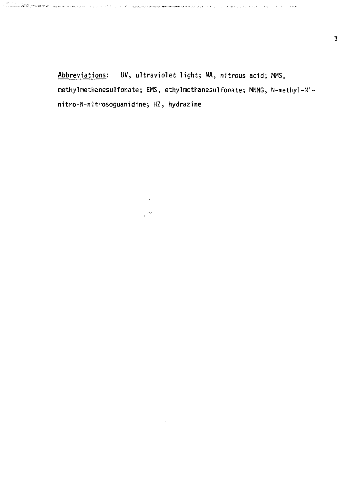**Abbreviations: UV, ultraviolet light; NA, nitrous acid; MMS, methylmethanesulfonate; EMS, ethylmethanesulfonate; MNNG, N-methyl-N' nitro-N-nit'osoguanidine; HZ, hydrazine**

<u>. A All 2000 contractive survey is a strategion of the contraction contractive consumer and the contraction of the contraction of the contraction of the contraction of the contraction of the contraction of the contraction</u>

 $\Delta$  $\mathbb{Z}^{2k}$ 

 $\sim 10^{-10}$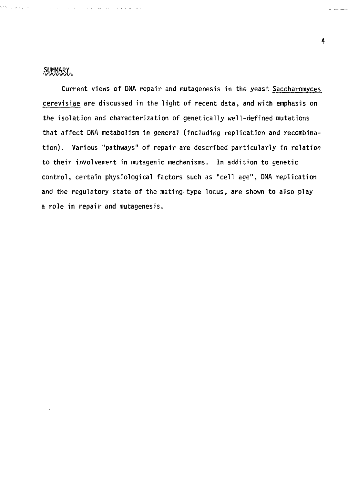# SUMMARY<br>Vinnan

se and may

**Current views of DNA repair and mutagenesis in the yeast Saccharomyces cerevisiae are discussed in the light of recent data, and with emphasis on the isolation and characterization of genetically well-defined mutations that affect DNA metabolism in general (including replication and recombination). Various "pathways" of repair are described particularly in relation to their involvement in mutagenic mechanisms. In addition to genetic control, certain physiological factors such as "cell age", DNA replication and the regulatory state of the mating-type locus, are shown to also play a role in repair and mutagenesis.**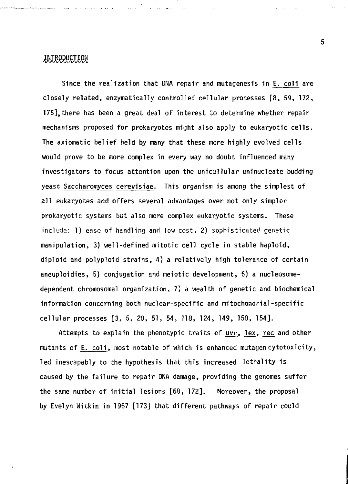# INIRODUCIION

Since the realization that DNA repair and mutagenesis in E. coli are closely related, enzymatically controlled cellular processes [8, 59, 172, 175],there has been a great deal of interest to determine whether repair mechanisms proposed for prokaryotes might also apply to eukaryotic cells. The axiomatic belief held by many that these more highly evolved cells would prove to be more complex in every way no doubt influenced many investigators to focus attention upon the unicellular uninucleate budding yeast Saccharomyces cerevisiae. This organism is among the simplest of all eukaryotes and offers several advantages over not only simpler prokaryotic systems but also more complex eukaryotic systems. These include: 1) ease of handling and low cost, 2) sophisticated genetic manipulation, 3) well-defined mitotic cell cycle in stable haploid, diploid and polyploid strains, 4) a relatively high tolerance of certain aneuploidies, 5) conjugation and meiotic development, 6) a nucleosomedependent chromosomal organization, 7) a wealth of genetic and biochemical information concerning both nuclear-specific and mitochondrial-specific cellular processes [3, 5, 20, 51, 54, 118, 124, 149, 150, 154].

Attempts to explain the phenotypic traits of uvr, lex, rec and other mutants of E. coli, most notable of which is enhanced mutagen cytotoxicity, led inescapably to the hypothesis that this increased lethality is caused by the failure to repair DNA damage, providing the genomes suffer the same number of initial lesions [68, 172]. Moreover, the proposal by Evelyn Witkin in 1967 [173] that different pathways of repair could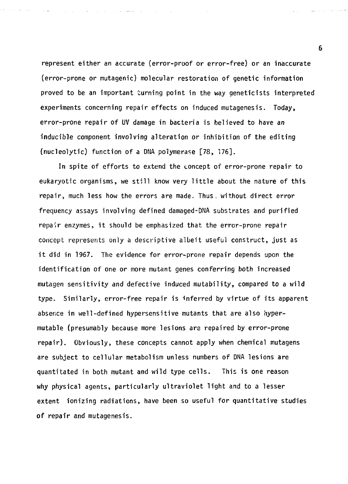represent either an accurate (error-proof or error-free) or an inaccurate (error-prone or mutagenic) molecular restoration of genetic information proved to be an important turning point in the way geneticists interpreted experiments concerning repair effects on induced mutagenesis. Today, error-prone repair of UV damage in bacteria is believed to have an inducible component involving alteration or inhibition of the editing (nucleolytic) function of a DMA polymerase [78, 176].

والموارد والمرادي والمرادي والمستعين والمتعاقب والمتعارف والمتعارف والمتعارض والمتعارض

In spite of efforts to extend the concept of error-prone repair to eukaryotic organisms, we still know very little about the nature of this repair, much less how the errors are made. Thus, without direct error frequency assays involving defined damaged-DNA substrates and purified repair enzymes, it should be emphasized that the error-prone repair concept represents only a descriptive albeit useful construct, just as it did in 1967. The evidence for error-prone repair depends upon the identification of one or more mutant genes conferring both increased mutagen sensitivity and defective induced mutability, compared to a wild type. Similarly, error-free repair is inferred by virtue of its apparent absence in well-defined hypersensitive mutants that are also hypermutable (presumably because more lesions are repaired by error-prone repair). Obviously, these concepts cannot apply when chemical mutagens are subject to cellular metabolism unless numbers of DNA lesions are quantitated in both mutant and wild type cells. This is one reason why physical agents, particularly ultraviolet light and to a lesser extent ionizing radiations, have been so useful for quantitative studies of repair and mutagenesis.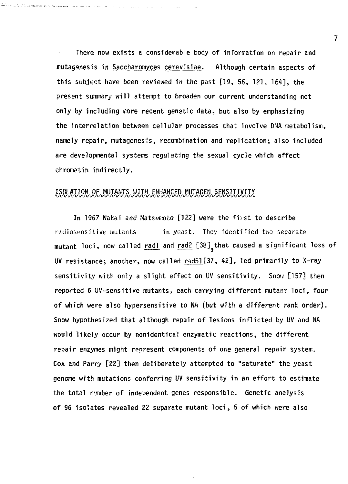There now exists a considerable body of information on repair and mutagenesis in Saccharomyces cerevisiae. Although certain aspects of this subject have been reviewed in the past [19, 56, 121, 164], the present summary will attempt to broaden our current understanding not only by including more recent genetic data, but also by emphasizing the interrelation betwaen cellular processes that involve DMA metabolism, namely repair, mutagenesis, recombination and replication; also included are developmental systems regulating the sexual cycle which affect chromatin indirectly.

# ISOLATION OF MUTANTS WITH ENHANCED MUTAGEN SENSITIVITY

In 1967 Nakai and Matsumoto [122] were the first to describe radiosensitive mutants in yeast. They identified two separate mutant loci, now called radl and rad2 [38], that caused a significant loss of UV resistance; another, now called rad51[37, 42], led primarily to X-ray sensitivity with only a slight effect on UV sensitivity. Snow [157] then reported 6 UV-sensitive mutants, each carrying different mutant loci, four of which were also hypersensitive to NA (but with a different rank order). Snow hypothesized that although repair of lesions inflicted by UV and NA would likely occur by nonidentical enzymatic reactions, the different repair enzymes might represent components of one general repair system. Cox and Parry [22] then deliberately attempted to "saturate" the yeast genome with mutations conferring UV sensitivity in an effort to estimate the total number of independent genes responsible. Genetic analysis of 96 isolates revealed 22 separate mutant loci, 5 of which were also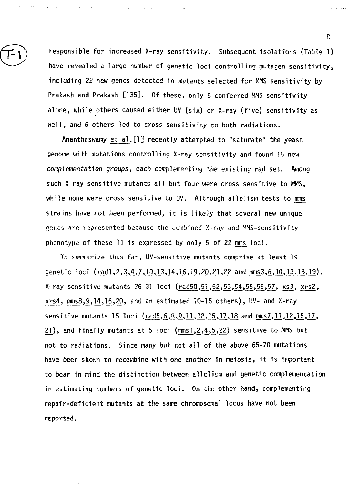responsible for increased X-ray sensitivity. Subsequent isolations (Table 1) have revealed a large number of genetic loci controlling mutagen sensitivity, including 22 new genes detected in mutants selected for MMS sensitivity by Prakash and Prakash [135]. Of these, only 5 conferred MMS sensitivity alone, while others caused either UV (six) or X-ray (five) sensitivity as well, and 6 others led to cross sensitivity to both radiations.

Ananthaswamy et al.[l] recently attempted to "saturate" the yeast genome with mutations controlling X-ray sensitivity and found 15 new complementation groups, each complementing the existing rad set. Among such X-ray sensitive mutants all but four were cross sensitive to MMS, while none were cross sensitive to UV. Although allelism tests to nms strains have not been performed, it is likely that several new unique genes are represented because the combined X-ray-and MMS-sensitivity phenotype of these 11 is expressed by only 5 of 22 mms loci.

To summarize thus far, UV-sensitive mutants comprise at least 19 genetic loci (rad1,2,3,4,7,10,13,14,16,19,20,21,22 and mms3,6,10,13,18,19), X-ray-sensitive mutants 26-31 loci (rad50,51,52,53,54,55,56,57, xs3, xrs2, xrs4, mms8,9,14,16,20, and an estimated 10-15 others), UV- and X-ray sensitive mutants 15 loci (rad5,6,8,9,11,12,15,17,18 and mms7,11,12,15,17, 21), and finally mutants at 5 loci (mmsl,2,4,5,22) sensitive to MMS but not to radiations. Since many but not all of the above 65-70 mutations have been shown to recombine with one another in meiosis, it is important to bear in mind the distinction between allelism and genetic complementation in estimating numbers of genetic loci. On the other hand, complementing repair-deficient mutants at the same chromosomal locus have not been reported.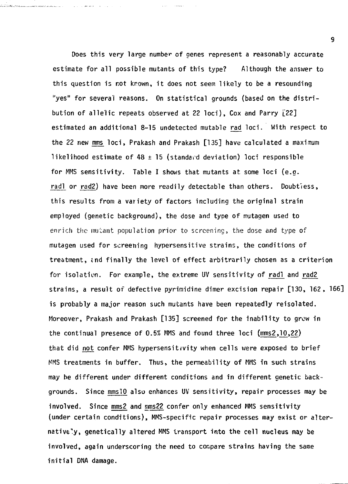**Does this very large number of genes represent a reasonably accurate estimate for all possible mutants of this type? Although the answer to this question is not known, it does not seem likely to be a resounding "yes" for several reasons. On statistical grounds (based on the distri**bution of allelic repeats observed at 22 loci). Cox and Parry *i*221 estimated an additional 8-15 undetected mutable rad loci. With respect to **the 22 new mms loci, Prakash and Prakash [135] have calculated a maximum likelihood estimate of 48 ± 15 (standard deviation) loci responsible for MMS sensitivity. Table I shows that mutants at some loci (e.g.** radl or rad2) have been more readily detectable than others. Doubtiess, **this results from a variety of factors including the original strain employed (genetic background), the dose and type of mutagen used to enrich the mutant population prior to screening, the dose and type of mutagen used for screening hypersensitive strains, the conditions of treatment, and finally the level of effect arbitrarily chosen as a criterion for isolation. For example, the extreme UV sensitivity of radl and rad2 strains, a result of defective pyrimidine dimer excision repair [130, 162, 166] is probably a major reason such mutants have been repeatedly reisolated. Moreover, Prakash and Prakash [135] screened for the inability to grew in the continual presence of 0.5% MMS and found three loci (mms2>10,22) that did not confer MMS hypersensitivity when cells were exposed to brief fr'MS treatments in buffer. Thus, the permeability of MMS in such strains may be different under different conditions and in different genetic back**grounds. Since mms<sup>10</sup> also enhances UV sensitivity, repair processes may be **involved. Since mms2 and mms22 confer only enhanced MMS sensitivity (under certain conditions), MMS-specific repair processes may exist or alternatively, genetically altered MMS transport into the cell nucleus may be involved, again underscoring the need to compare strains having the same initial DNA damage.**

**Service Community** 

المتارين والمتارين والمعجم والتوار

.<br>Alai 1000 1100 metri kalendari dan mengenasi dan kemudian dan menjadi kalendari dan menjadi kalendari dan menj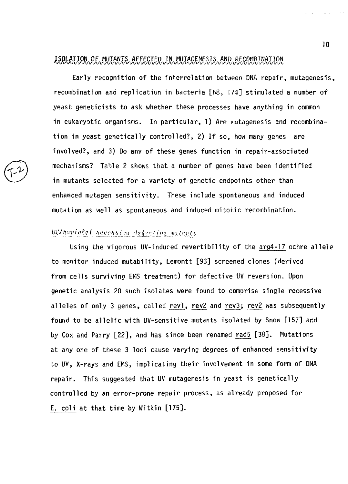# ISOLATION OF MUTANTS AFFECTED IN MUTAGENESIS AND RECOMBINATION

Early recognition of the interrelation between DNA repair, mutagenesis, recombination and replication in bacteria [68, 174] stimulated a number of yeast geneticists to ask whether these processes have anything in common in eukaryotic organisms. In particular, 1) Are mutagenesis and recombination in yeast genetically controlled?, 2) If so, how many genes are involved?, and 3) Do any of these genes function in repair-associated mechanisms? Table 2 shows that a number of genes have been identified in mutants selected for a variety of genetic endpoints other than enhanced mutagen sensitivity. These include spontaneous and induced mutation as well as spontaneous and induced mitotic recombination.

#### Withaviolet nevension-defective matants

Using the vigorous UV-indured revertibility of the arg4-17 ochre allele to monitor induced mutability, Lemontt [93] screened clones (derived from cells surviving EMS treatment) for defective UV reversion. Upon genetic analysis 20 such isolates were found to comprise single recessive alleles of only 3 genes, called revl, rev2 and rev3; rev2 was subsequently found to be allelic with UV-sensitive mutants isolated by Snow [157] and by Cox and Parry [22], and has since been renamed rad5 [38]. Mutations at any one of these 3 loci cause varying degrees of enhanced sensitivity to UV, X-rays and EMS, implicating their involvement in some form of DNA repair. This suggested that UV mutagenesis in yeast is genetically controlled by an error-prone repair process, as already proposed for E. coli at that time by Witkin [175].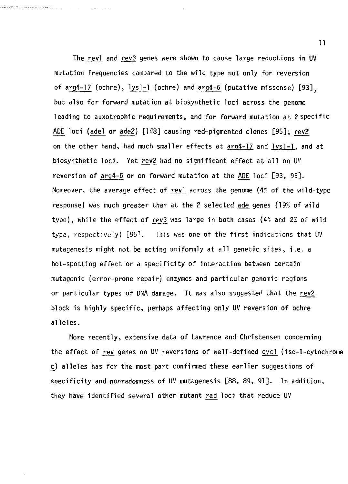The rev1 and rev3 genes were shown to cause large reductions in UV mutation frequencies compared to the wild type not only for reversion of arg4-17 (ochre), lysl-1 (ochre) and arg4-6 (putative missense) [93]. but also for forward mutation at biosynthetic loci across the genome leading to auxotrophic requirements, and for forward mutation at 2 specific APE loci (adei or ade2) [148] causing red-pigmented clones [95]; rev2 on the other hand, had much smaller effects at arg4-17 and lysl-1, and at biosynthetic loci. Yet rev2 had no significant effect at all on UV reversion of arg4-6 or on forward mutation at the APE loci [93, 95]. Moreover, the average effect of rev! across the genome (4% of the wild-type response) was much greater than at the 2 selected ade genes (19% of wild type), while the effect of rev3 was large in both cases (4% and 2% of wild type, respectively)  $[95]$ . This was one of the first indications that UV mutagenesis might not be acting uniformly at all genetic sites, i.e. a hot-spotting effect or a specificity of interaction between certain mutagenic (error-prone repair) enzymes and particular genomic regions or particular types of PNA damage. It was also suggested that the rev2 block is highly specific, perhaps affecting only UV reversion of ochre alleles.

<u>USE construction communication</u> in Line

More recently, extensive data of Lawrence and Christensen concerning the effect of rev genes on UV reversions of well-defined cycl (iso-1-cytochrome cj alleles has for the most part confirmed these earlier suggestions of specificity and nonradomness of UV mutcgenesis [88, 89, 91]. In addition, they have identified several other mutant rad loci that reduce UV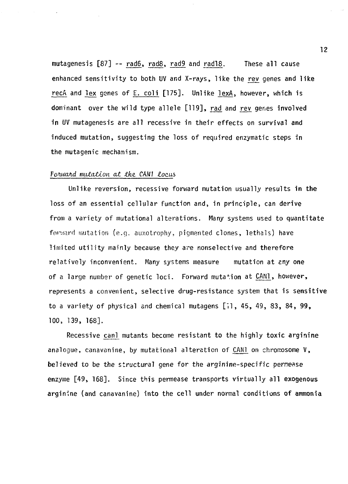mutagenesis [87] -- rad6, rad8, rad9 and rad!8. These all cause enhanced sensitivity to both UV and X-rays, like the rev genes and like recA and lex genes of E. coli [175]. Unlike lexA, however, which is dominant over the wild type allele [119], rad and rev genes involved in UV mutagenesis are all recessive in their effects on survival and induced mutation, suggesting the loss of required enzymatic steps in the mutagenic mechanism.

#### Forward mutation at the CAN1 locus

Unlike reversion, recessive forward mutation usually results in the loss of an essential cellular function and, in principle, can derive from a variety of mutational alterations. Many systems used to quantitate forward mutation (e.g. auxotrophy, pigmented clones, lethals) have limited utility mainly because they are nonselective and therefore relatively inconvenient. Many systems measure mutation at eny one of a large number of genetic loci. Forward mutation at CAN!, however, represents a convenient, selective drug-resistance system that is sensitive to a variety of physical and chemical mutagens  $\begin{bmatrix} 1, 45, 49, 83, 84, 99, \end{bmatrix}$ 100, 139, 168].

Recessive canl mutants become resistant to the highly toxic arginine analogue, canavanine, by mutational alteration of CAN1 on chromosome V, believed to be the structural gene for the arginine-specific pernease enzyme [49, 168]. Since this permease transports virtually all exogenous arginine (and canavanine) into the cell under normal conditions of ammonia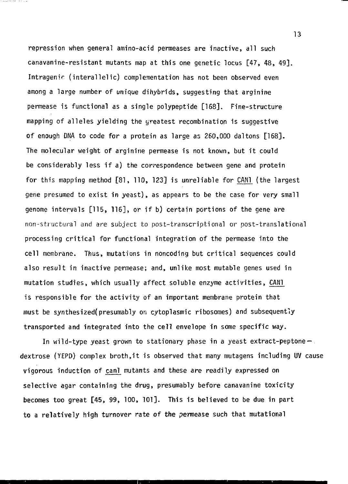repression when general amino-acid permeases are inactive, all such canavanine-resistant mutants map at this one genetic locus [47, 48, 49]. Intragenic (interallelic) complementation has not been observed even among a large number of unique dihybrids, suggesting that arginine permease is functional as a single polypeptide [168], Fine-structure mapping of alleles yielding the yreatest recombination is suggestive of enough DNA to code for a protein as large as 260,000 daltons [168]. The molecular weight of arginine permease is not known, but it could be considerably less if a) the correspondence between gene and protein for this mapping method [81, 110, 123] is unreliable for CAN1 (the largest gene presumed to exist in yeast), as appears to be the case for very small genome intervals [115, 116], or if b) certain portions of the gene are non-structural and are subject to post-transcriptional or post-translational processing critical for functional integration of the permease into the cell membrane. Thus, mutations in noncoding but critical sequences could also result in inactive permease; and, unlike most mutable genes used in mutation studies, which usually affect soluble enzyme activities, CAN! is responsible for the activity of an important membrane protein that must be synthesized(presumably on cytoplasmic ribosomes) and subsequently transported and integrated into the cell envelope in some specific way.

In wild-type yeast grown to stationary phase in a yeast extract-peptone dextrose (YEPD) complex broth.it is observed that many mutagens including UV cause vigorous induction of canl mutants and these are readily expressed on selective agar containing the drug, presumably before canavanine toxicity becomes too great [45, 99, 100, 101]. This is believed to be due in part to a relatively high turnover rate of the permease such that mutational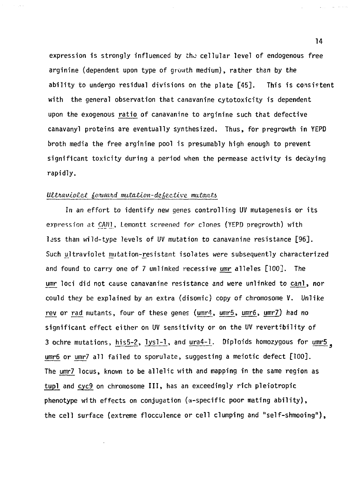expression is strongly influenced by the cellular level of endogenous free arginine (dependent upon type of growth medium), rather than by the ability to undergo residual divisions on the plate [45]. This is consistent with the general observation that canavanine cytotoxicity is dependent upon the exogenous ratio of canavanine to arginine such that defective canavanyl proteins are eventually synthesized. Thus, for pregrowth in YEPD broth media the free arginine pool is presumably high enough to prevent significant toxicity during a period when the permease activity is decaying rapidly.

#### $U$ Ultraviolet forward mutation-defective mutants

In an effort to identify new genes controlling UV mutagenesis or its expression at CAN], Lemontt screened for clones (YEPD pregrowth) with less than wild-type levels of UV mutation to canavanine resistance  $[96]$ . Such ultraviolet mutation-resistant isolates were subsequently characterized and found to carry one of 7 unlinked recessive umr alleles [100]. The umr loci did not cause canavanine resistance and were unlinked to canl, nor could they be explained by an extra (disomic) copy of chromosome V. Unlike rev or rad mutants, four of these genes (umr4, umr5, umr6, umr7) had no significant effect either on UV sensitivity or on the UV revertibility of 3 ochre mutations, his5-2, lysl-1, and ura4-l. Diploids homozygous for umr5 . umr6 or umr7 all failed to sporulate, suggesting a meiotic defect [100]. The umr7 locus, known to be allelic with and mapping in the same region as tupl and cyc9 on chromosome III, has an exceedingly rich pleiotropic phenotype with effects on conjugation ( $\alpha$ -specific poor mating ability), the cell surface (extreme flocculence or cell clumping and "self-shmooing"),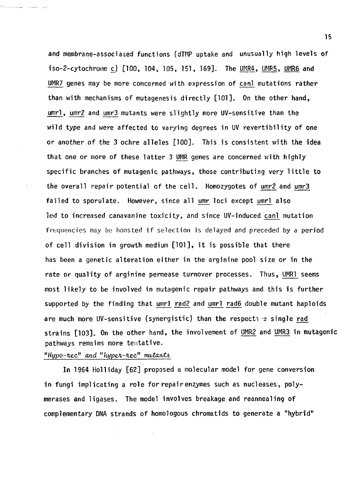and membrane-associated functions (dTMP uptake and unusually high levels of iso-2-cytochrome c\_) [100, 104, 105, 151, 169]. The UHR4, UMR5, UHR6 and UMR7 genes may be more concerned with expression of can! mutations rather than with mechanisms of mutagenesis directly [101]. On the other hand, umrl, umr2 and umr3 mutants were slightly more UV-sensitive than the wild type and were affected to varying degrees in UV revertibility of one or another of the 3 ochre alleles [100]. This is consistent with the idea that one or more of these latter 3 UMR genes are concerned with highly specific branches of mutagenic pathways, those contributing very little to the overall repair potential of the cell. Homozygotes of umr2 and umr3 failed to sporulate. However, since all umr loci except umrl also led to increased canavanine toxicity, and since UV-induced canl mutation frequencies may be boosted if selection is delayed and preceded by a period of cell division in growth medium [101], it is possible that there has been a genetic alteration either in the arginine pool size or in the rate or quality of arginine permease turnover processes. Thus, UMR1 seems most likely to be involved in mutagenic repair pathways and this is further supported by the finding that umrl rad2 and umrl rad6 double mutant haploids are much more UV-sensitive (synergistic) than the respective single rad strains [103]. On the other hand, the involvement of UMR2 and UMR3 in mutagenic pathways remains more tentative.

#### "Hypo-rec" and "hyper-rec" mutants

والدعاء المعقبين المستحقق للمراديك

In 1964 Holliday [62] proposed a molecular model for gene conversion in fungi implicating a role for repair enzymes such as nucleases, polymerases and ligases. The model involves breakage and reannealing of complementary DNA strands of homologous chromatids to generate a "hybrid"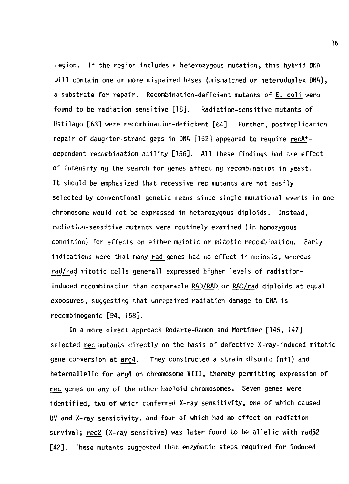region. If the region includes a heterozygous mutation, this hybrid DNA will contain one or more mispaired bases (mismatched or heteroduplex DNA), a substrate for repair. Recombination-deficient mutants of E. coli were found to be radiation sensitive [18]. Radiation-sensitive mutants of Ustilago [63] were recombination-deficient [64]. Further, postreplication repair of daughter-strand gaps in DNA [152] appeared to require recA<sup>+</sup> dependent recombination ability [156]. All these findings had the effect of intensifying the search for genes affecting recombination in yeast. It should be emphasized that recessive rec mutants are not easily selected by conventional genetic means since single mutational events in one chromosome would not be expressed in heterozygous diploids. Instead, radiation-sensitive mutants were routinely examined (in homozygous condition) for effects on either meiotic or mitotic recombination. Early indications were that many rad genes had no effect in meiosis, whereas rad/rad mitotic cells generall expressed higher levels of radiationinduced recombination than comparable RAD/RAD or RAD/rad diploids at equal exposures, suggesting that unrepaired radiation damage to DNA is recombinogenic [94, 158].

In a more direct approach Rodarte-Ramon and Mortimer [146, 147] selected rec mutants directly on the basis of defective X-ray-induced mitotic gene conversion at arg4. They constructed a strain disomic (n+1) and heteroallelic for arg4 on chromosome VIII, thereby permitting expression of rec genes on any of the other haploid chromosomes. Seven genes were identified, two of which conferred X-ray sensitivity, one of which caused UV and X-ray sensitivity, and four of which had no effect on radiation survival; rec2 (X-ray sensitive) was later found to be allelic with rad52 [42]. These mutants suggested that enzymatic steps required for induced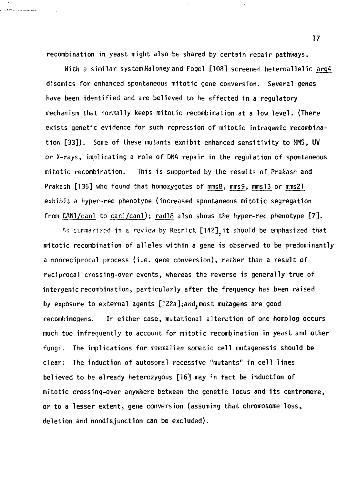recombination in yeast might also be shared by certain repair pathways.

.<br>2013: The Strategy and Hotel House 2012, Inc.

With a similar system Maloney and Fogel [108] screened heteroallelic arg4 disomics for enhanced spontaneous mitotic gene conversion. Several genes have been identified and are believed to be affected in a regulatory mechanism that normally keeps mitotic recombination at a low level. (There exists genetic evidence for such repression of mitotic intragenic recombination [33]). Some of these mutants exhibit enhanced sensitivity to MMS, UV or X-rays, implicating a role of DNA repair in the regulation of spontaneous mitotic recombination. This is supported by the results of Prakash and Prakash [136] who found that homozygotes of mms8, mms9, mms13 or mms21 exhibit a hyper-rec phenotype (increased spontaneous mitotic segregation from CAN1/can1 to can1/can1); rad18 also shows the hyper-rec phenotype [7].

As summarized in a review by Resnick [142], it should be emphasized that mitotic recombination of alleles within a gene is observed to be predominantly a nonreciprocal process (i.e. gene conversion), rather than a result of reciprocal crossing-over events, whereas the reverse is generally true of intergenic recombination, particularly after the frequency has been raised by exposure to external agents  $[122a];$  and, most mutagens are good recombinogens. In either case, mutational alteration of one homolog occurs much too infrequently to account for mitotic recombination in yeast and other fungi. The implications for mammalian somatic cell mutagenesis should be clear: The induction of autosomal recessive "mutants" in cell lines believed to be already heterozygous [16] may in fact be induction of mitotic crossing-over anywhere between the genetic locus and its centromere, or to a lesser extent, gene conversion (assuming that chromosome loss, deletion and nondisjunction can be excluded).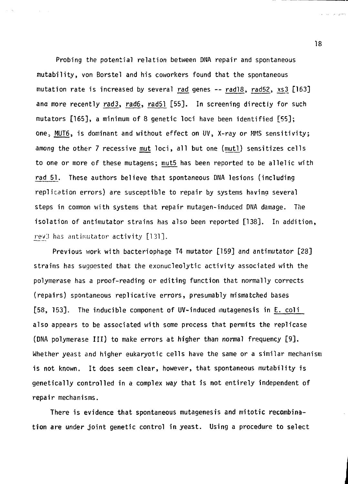Probing the potential relation between DNA repair and spontaneous mutability, von Borstel and his coworkers found that the spontaneous mutation rate is increased by several rad genes -- rad!8, rad52, xs3 [163] ana more recently rad3, rad6, rad51 [55]. In screening directly for such mutators [165], a minimum of 8 genetic loci have been identified [55]; one, MUT6, is dominant and without effect on UV, X-ray or MMS sensitivity; among the other 7 recessive mut loci, all but one (mutl) sensitizes cells to one or more of these mutagens; mut5 has been reported to be allelic with rad 51. These authors believe that spontaneous DNA lesions (including replication errors) are susceptible to repair by systems having several steps in common with systems that repair mutagen-induced DNA damage. The isolation of antimutator strains has also been reported [138]. In addition, rev3 has antimutator activity [131].

Previous work with bacteriophage T4 mutator [159] and antimutator [28] strains has suggested that the exonucleolytic activity associated with the polymerase has a proof-reading or editing function that normally corrects (repairs) spontaneous replicative errors, presumably mismatched bases [58, 153]. The inducible component of UV-induced rnutagenesis in E. coli also appears to be associated with some process that permits the replicase (DNA polymerase III) to make errors at higher than normal frequency [9]. Whether yeast and higher eukaryotic cells have the same or a similar mechanism is not known. It does seem clear, however, that spontaneous mutability is genetically controlled in a complex way that is not entirely independent of repair mechanisms.

There is evidence that spontaneous mutagenesis and mitotic recombination are under joint genetic control in yeast. Using a procedure to select

18

ومعاويات عربان الربابات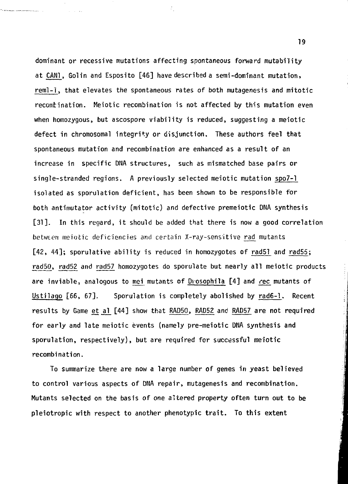dominant or recessive mutations affecting spontaneous forward mutability at CAN!, Golin and Esposito [46] have described a semi-dominant mutation. reml-1, that elevates the spontaneous rates of both mutagenesis and mitotic recombination. Meiotic recombination is not affected by this mutation even when homozygous, but ascospore viability is reduced, suggesting a meiotic defect in chromosomal integrity or disjunction. These authors feel that spontaneous mutation and recombination are enhanced as a result of an increase in specific DNA structures, such as mismatched base pairs or single-stranded regions. A previously selected meiotic mutation spo7-l isolated as sporulation deficient, has been shown to be responsible for both antimutator activity (mitotic) and defective premeiotic DNA synthesis [31]. In this regard, it should be added that there is now a good correlation between meiotic deficiencies and certain X-ray-sensitive rad mutants [42, 44]; sporulative ability is reduced in homozygotes of rad51 and rad55; rad50, rad52 and rad57 homozygotes do sporulate but nearly all meiotic products are inviable, analogous to mei mutants of Diosophila [4] and rec mutants of Ustilago [66, 67]. Sporulation is completely abolished by rad6-l. Recent results by Game et al [44] show that RAD50, RAD52 and RAD57 are not required for early and late meiotic events (namely pre-meiotic DNA synthesis and sporulation, respectively), but are required for successful meiotic recombination.

ŕ,

To summarize there are now a large number of genes in yeast believed to control various aspects of DNA repair, mutagenesis and recombination. Mutants selected on the basis of one altered property often turn out to be pleiotropic with respect to another phenotypic trait. To this extent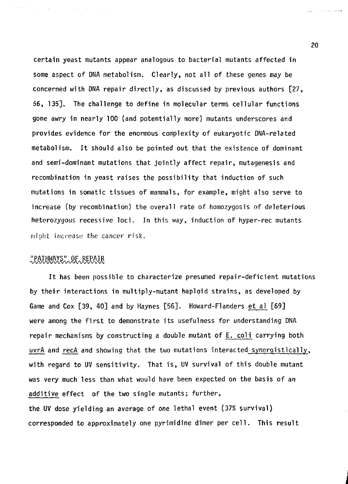certain yeast mutants appear analogous to bacterial mutants affected in some aspect of DNA metabolism. Clearly, not all of these genes may be concerned with DNA repair directly, as discussed by previous authors [27, 56, 135]. The challenge to define in molecular terms cellular functions gone awry in nearly 100 (and potentially more) mutants underscores and provides evidence for the enormous complexity of eukaryotic DNA-related metabolism. It should also be pointed out that the existence of dominant and semi-dominant mutations that jointly affect repair, mutagenesis and recombination in yeast raises the possibility that induction of such mutations in somatic tissues of mammals, for example, might also serve to increase (by recombination) the overall rate of homozygosis of deleterious heterozygous recessive loci. In this way, induction of hyper-rec mutants might increase the cancer risk.

# "PATHWAYS" OF REPAIR

where  $\alpha$  is a simple  $\alpha$ 

 $\mathcal{O}(10^{-10} \log n)$  . The second state  $\mathcal{O}(10^{-10})$ 

It has been possible to characterize presumed repair-deficient mutations by their interactions in multiply-mutant haploid strains, as developed by Game and Cox [39, 40] and by Haynes [56]. Howard-Flanders et al [69] were among the first to demonstrate its usefulness for understanding DNA repair mechanisms by constructing a double mutant of E. coli carrying both uvrA and recA and showing that the two mutations interacted synergistically, with regard to UV sensitivity. That is, UV survival of this double mutant was very much less than what would have been expected on the basis of an additive effect of the two single mutants; further, the UV dose yielding an average of one lethal event (37% survival) corresponded to approximately one pyrimidine dimer per cell. This result

20

uu - Kess roo<mark>m</mark>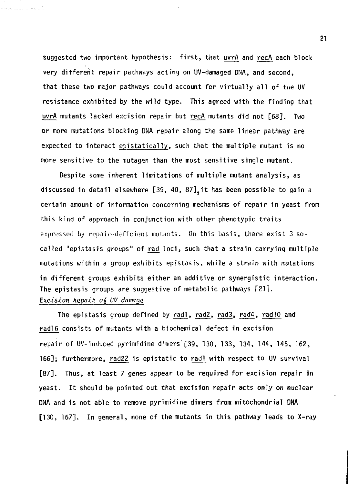suggested two important hypothesis: first, that uvrA and recA each block very different repair pathways acting on UV-damaged DNA, and second, that these two major pathways could account for virtually all of the UV resistance exhibited by the wild type. This agreed with the finding that uvrA mutants lacked excision repair but recA mutants did not [68]. Two or more mutations blocking DNA repair along the same linear pathway are expected to interact epistatically, such that the multiple mutant is no more sensitive to the mutagen than the most sensitive single mutant.

a<br>Constantino de Mario de Mario

Despite some inherent limitations of multiple mutant analysis, as discussed in detail elsewhere  $[39, 40, 87]$ , it has been possible to gain a certain amount of information concerning mechanisms of repair in yeast from this kind of approach in conjunction with other phenotypic traits expressed by repair-deficient mutants. On this basis, there exist 3 socalled "epistasis groups" of rad loci, such that a strain carrying multiple mutations within a group exhibits epistasis, while a strain with mutations in different groups exhibits either an additive or synergistic interaction. The epistasis groups are suggestive of metabolic pathways [21]. Excision repair  $o_0$  UV damage

The epistasis group defined by radl, rad2, rad3, rad4, rad10 and rad!6 consists of mutants with a biochemical defect in excision repair of UV-induced pyrimidine dimers'[39, 130, 133, 134, 144, 145, 162, 166]; furthermore, rad22 is epistatic to radl with respect to UV survival [87], Thus, at least 7 genes appear to be required for excision repair in yeast. It should be pointed out that excision repair acts only on nuclear DNA and is not able to remove pyrimidine dimers from mitochondrial DNA [130, 167]. In general, none of the mutants in this pathway leads to X-ray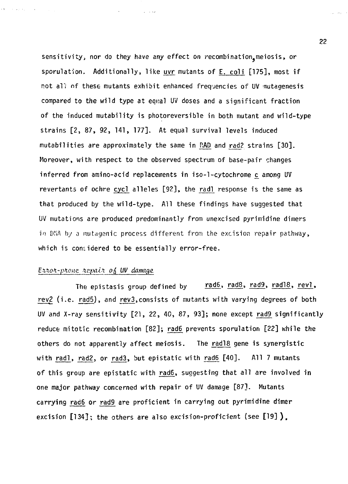sensitivity, nor do they have any effect on recombination.meiosis, or sporulation. Additionally, like uvr mutants of E. coli [175], most if not all of these mutants exhibit enhanced frequencies of UV mutagenesis compared to the wild type at eqi:al UV doses and a significant fraction of the induced mutability is photoreversible in both mutant and wiId-type strains [2, 87, 92, 141, 177]. At equal survival levels induced mutabilities are approximately the same in RAD and rad2 strains [30]. Moreover, with respect to the observed spectrum of base-pair changes inferred from amino-acid replacements in iso-1-cytochrome c\_ among UV revertants of ochre cycl alleles [92], the radl response is the same as that produced by the wild-type. All these findings have suggested that UV mutations are produced predominantly from unexcised pyrimidine dimers in DNA by a mutagenic process different from the excision repair pathway, which is considered to be essentially error-free.

فالمتعاد

#### $Error$ -phone repair of UV damage.

 $\tilde{\Theta}^{(1)} = \tilde{\Theta}^{(1)}$  and  $\tilde{\Theta}^{(2)} = \tilde{\Theta}^{(1)}$ 

The epistasis group defined by rad6, rad8, rad9, rad18, revl, rev2 (i.e. rad5), and rev3,consists of mutants with varying degrees of both UV and X-ray sensitivity [21, 22, 40, 87, 93]; none except rad9 significantly reduce mitotic recombination [82]; rad6 prevents sporulation [22] while the others do not apparently affect meiosis. The rad!8 gene is synergistic with radl, rad2, or rad3, but epistatic with rad6 [40]. All 7 mutants of this group are epistatic with rad6, suggesting that all are involved in one major pathway concerned with repair of UV damage [87]. Mutants carrying rad6 or rad9 are proficient in carrying out pyrimidine dimer excision [134]; the others are also excision-proficient (see [19]).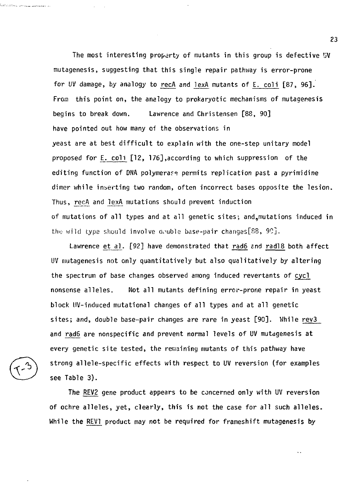The most interesting property of mutants in this group is defective UV mutagenesis, suggesting that this single repair pathway is error-prone for UV damage, by analogy to recA and lexA mutants of E. coli [87, 96]. From this point on, the analogy to prokaryotic mechanisms of mutagenesis begins to break down. Lawrence and Christensen [88, 90] have pointed out how many of the observations in yeast are at best difficult to explain with the one-step unitary model proposed for E. coll [12, 176].according to which suppression of the editing function of DNA polymerase permits replication past a pyrimidine dinner while inserting two random, often incorrect bases opposite the lesion. Thus, recA and lexA mutations should prevent induction of mutations of all types and at all genetic sites; and,mutations induced in the wild type should involve double base-pair changes[88, 90].

Lawrence et al. [92] have demonstrated that rad6 and rad18 both affect UV mutagenesis not only quantitatively but also qualitatively by altering the spectrum of base changes observed among induced revertants of cycl nonsense alleles. Not all mutants defining error-prone repair in yeast block UV-induced mutational changes of all types and at all genetic sites; and, double base-pair changes are rare in yeast [90]. While rev3 and rad6 are nonspecific and prevent normal levels of UV mutagenesis at every genetic site tested, the remaining mutants of this pathway have strong allele-specific effects with respect to UV reversion (for examples see Table 3).

The REV2 gene product appears to be concerned only with UV reversion of ochre alleles, yet, clearly, this is not the case for all such alleles. While the REVI product may not be required for frameshift mutagenesis by

.<br>Likili ilima merezi izan manazar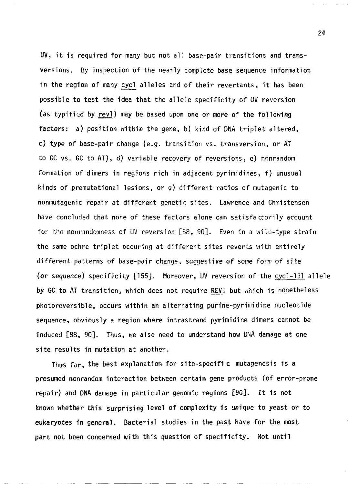UV, it is required for many but not all base-pair transitions and transversions. By inspection of the nearly complete base sequence information in the region of many cycl alleles and of their revertants, it has been possible to test the idea that the allele specificity of UV reversion (as typified by rev!) may be based upon one or more of the following factors: a) position within the gene, b) kind of DNA triplet altered, c) type of base-pair change (e.g. transition vs. transversion, or AT to GC vs. GC to AT), d) variable recovery of reversions, e) nonrandom formation of dimers in reqions rich in adjacent pyrimidines, f) unusual kinds of premutational lesions, or g) different ratios of mutagenic to nonmutagenic repair at different genetic sites. Lawrence and Christensen have concluded that none of these factors alone can satisfactorily account for the nonrandonmess of UV reversion [88, 90]. Even in a wild-type strain the same ochre triplet occuring at different sites reverts with entirely different patterns of base-pair change, suggestive of some form of site (or sequence) specificity [155]. Moreover, UV reversion of the cycl-131 allele by GC to AT transition, which does not require REV1 but which is nonetheless photoreversible, occurs within an alternating purine-pyrimidine nucleotide sequence, obviously a region where intrastrand pyrimidine dimers cannot be induced [88, 90]. Thus, we also need to understand how DNA damage at one site results in mutation at another.

Thus far, the best explanation for site-specific mutagenesis is a presumed nonrandom interaction between certain gene products (of error-prone repair) and DNA damage in particular genomic regions [90]. It is not known whether this surprising level of complexity is unique to yeast or to eukaryotes in general. Bacterial studies in the past have for the most part not been concerned with this question of specificity. Not until

24

 $\langle \mu | \mu \rangle$  ,  $\langle \mu | \sigma \rangle$  and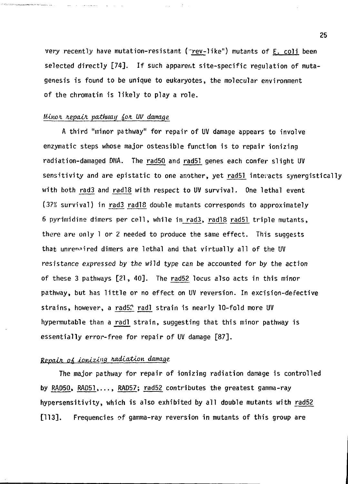very recently have mutation-resistant ("rev-like") mutants of E. coli been selected directly [74]. If such apparent site-specific regulation of mutagenesis is found to be unique to eukaryotes, the molecular environment of the chromatin is likely to play a role.

#### Minor repair pathway for UV damage

and the company of the company of

.<br>Tidli läännymmääräksiksi resumaan on

A third "minor pathway" for repair of UV damage appears to involve enzymatic steps whose major ostensible function is to repair ionizing radiation-damaged DMA. The rad50 and rad51 genes each confer slight UV sensitivity and are epistatic to one another, yet rad51 interacts synergistically with both rad3 and rad18 with respect to UV survival. One lethal event (37% survival) in rad3 radlS double mutants corresponds to approximately 6 pyrimidine dimers per cell, while in rad3, rad18 rad51 triple mutants, there are only 1 or 2 needed to produce the same effect. This suggests that unrenaired dimers are lethal and that virtually all of the UV resistance expressed by the wild type can be accounted for by the action of these 3 pathways [21, 40]. The rad52 locus also acts in this minor pathway, but has little or no effect on UV reversion. In excision-defective strains, however, a rad52 radl strain is nearly 10-fold more UV hypermutable than a radl strain, suggesting that this minor pathway is essentially error-free for repair of UV damage [87].

# Repair of *ionizing radiation damage*

The major pathway for repair of ionizing radiation damage is controlled by RAD50, RAD51,..., RAD57; rad52 contributes the greatest gamma-ray hypersensitivity, which is also exhibited by all double mutants with rad52 [113]. Frequencies of gamma-ray reversion in mutants of this group are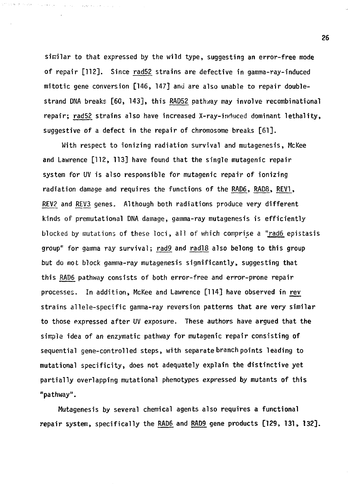similar to that expressed by the wild type, suggesting an error-free mode of repair [112]. Since rad52 strains are defective in gamma-ray-induced mitotic gene conversion [146, 147] and are also unable to repair doublestrand DNA breaks [60, 143], this RAD52 pathway may involve recombinational repair; rad52 strains also have increased X-ray-induced dominant lethality, suggestive of a defect in the repair of chromosome breaks [61].

المواضح المستعجب والتجاهير والمتحدث

With respect to ionizing radiation survival and mutagenesis, McKee and Lawrence [112, 113] have found that the single mutagenic repair system for UV is also responsible for mutagenic repair of ionizing radiation damage and requires the functions of the RAD6, RAD8, REV!, REV2 and REV3 genes. Although both radiations produce very different kinds of premutational DNA damage, gamma-ray mutagenesis is efficiently blocked by mutations of these loci, all of which comprise a "rad6 epistasis group" for gamma ray survival; rad9 and rad!8 also belong to this group but do not block gamma-ray mutagenesis significantly, suggesting that this RAD6 pathway consists of both error-free and error-prone repair processes. In addition, McKee and Lawrence [114] have observed in rev strains allele-specific gamma-ray reversion patterns that are very similar to those expressed after UV exposure. These authors have argued that the simple idea of an enzymatic pathway for mutagenic repair consisting of sequential gene-controlled steps, with separate branch points leading to mutational specificity, does not adequately explain the distinctive yet partially overlapping mutational phenotypes expressed by mutants of this "pathway".

Mutagenesis by several chemical agents also requires a functional repair system, specifically the RAD6 and RAD9 gene products [129, 131, 132].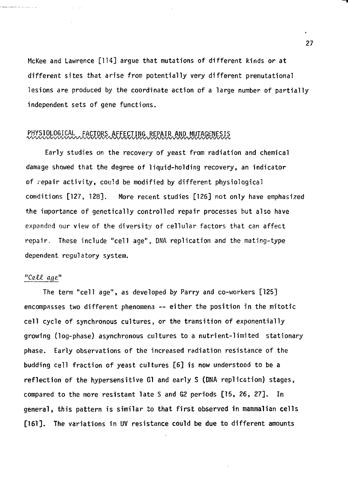McKee and Lawrence [114] argue that mutations of different kinds or at different sites that arise from potentially very different premutational lesions are produced by the coordinate action of a large number of partially independent sets of gene functions.

# PHYSIOLOGICAL FACTORS AFFECTING REPAIR AND MUTAGENESIS

Early studies on the recovery of yeast from radiation and chemical damage showed that the degree of liquid-holding recovery, an indicator of repair activity, could be modified by different physiological conditions [127, 128]. More recent studies [126] not only have emphasized the importance of genetically controlled repair processes but also have expanded our view of the diversity of cellular factors that can affect repair. These include "cell age",, DNA replication and the mating-type dependent regulatory system.

#### "Cell age"

.<br>National Profit of Communications (2012)

The term "cell age", as developed by Parry and co-workers [125] encompasses two different phenomena — either the position in the mitotic cell cycle of synchronous cultures, or the transition of exponentially growing (log-phase) asynchronous cultures to a nutrient-limited stationary phase. Early observations of the increased radiation resistance of the budding cell fraction of yeast cultures [6] is now understood to be a reflection of the hypersensitive Gl and early S (DNA replication) stages, compared to the more resistant late S and G2 periods [15, 26, 27]. In general, this pattern is similar to that first observed in mammalian cells [161]. The variations in UV resistance could be due to different amounts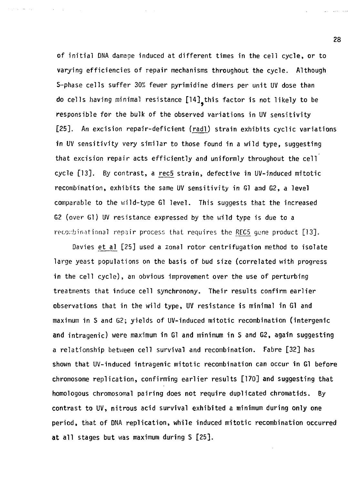of initial DNA damaae induced at different times in the cell cycle, or to varying efficiencies of repair mechanisms throughout the cycle. Although S-phase cells suffer 30% fewer pyrimidine dimers per unit UV dose than do cells having minimal resistance  $[14]$  this factor is not likely to be responsible for the bulk of the observed variations in UV sensitivity [25]. An excision repair-deficient (radl) strain exhibits cyclic variations in UV sensitivity very similar to those found in a wild type, suggesting that excision repair acts efficiently and uniformly throughout the cell cycle [13]. By contrast, a rec5 strain, defective in UV-induced mitotic recombination, exhibits the same UV sensitivity in Gl and G2, a level comparable to the wild-type Gl level. This suggests that the increased G2 (over Gl) UV resistance expressed by the wild type is due to a reco;:binational repair process that requires the REC5 gene product [13].

Davies et al [25] used a zonal rotor centrifugation method to isolate large yeast populations on the basis of bud size (correlated with progress in the cell cycle), an obvious improvement over the use of perturbing treatments that induce cell synchronony. Their results confirm earlier observations that in the wild type, UV resistance is minimal in Gl and maximum in S and G2; yields of UV-induced mitotic recombination (intergenic and intragenic) were maximum in Gl and minimum in S and G2, again suggesting a relationship between cell survival and recombination. Fabre [32] has shown that UV-induced intragenic mitotic recombination can occur in Gl before chromosome replication, confirming earlier results [170] and suggesting that homologous chromosomal pairing does not require duplicated chromatids. By contrast to UV, nitrous acid survival exhibited a minimum during only one period, that of DNA replication, while induced mitotic recombination occurred at all stages but was maximum during S [25].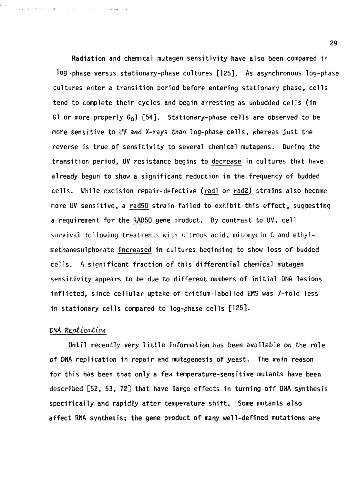**Radiation and chemical mutagen sensitivity have also been compared in log-phase versus stationary-phase cultures [125]. As asynchronous log-phase cultures enter a transition period before entering stationary phase, cells tend to complete their cycles and begin arresting as unbudded cells (in Gl or more properly G<sup>o</sup> ) [54]. Stationary-phase cells are observed to be more sensitive to UV and X-rays than log-phase cells, whereas just the reverse is true of sensitivity to several chemical mutagens. During the transition period, UV resistance begins to decrease in cultures that have already begun to show a significant reduction in the frequency of budded cells. While excision repair-defective (radi or rad2) strains also become rrore UV sensitive, a rad50 strain failed to exhibit this effect, suggesting a requirement for the RAD5O gene product. By contrast to UV, cell survival following treatments with nitrous acid, mitomycin C and ethylrriethanesulphonate increased in cultures beginning to show loss of budded cells. A significant fraction of this differential chemical mutagen sensitivity appears to be due to different numbers of initial DNA lesions inflicted, since cellular uptake of tritium-labelled EMS was 7-fold less in stationary cells compared to log-phase cells [125].**

#### *PNA* Replication

.<br>International professional contract of the second contract of the second contract of the second contract of th

المن المتحدة المناطق المناطق المناطق المناطق المناطق المناطق المناطق المناطق المناطق المناطق المناطق المناطق ا

**Until recently very little information has been available on the role of DNA replication in repair and mutagenesis of yeast. The main reason for this has been that only a few temperature-sensitive mutants have been described [52, 53, 72] that have large effects in turning off DNA synthesis specifically and rapidly after temperature shift. Some mutants also affect RNA synthesis; the gene product of many well-defined mutations are**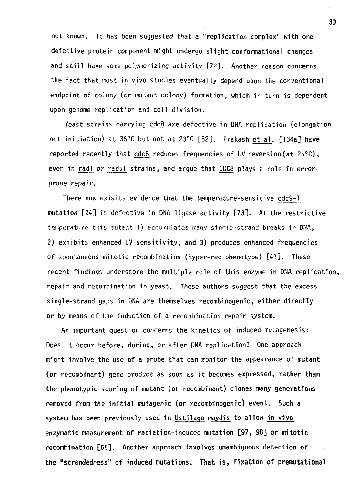not known. It has been suggested that a "replication complex" with one defective protein component might undergo slight conformational changes and still have some polymerizing activity [72]. Another reason concerns the fact that most in vivo studies eventually depend upon the conventional endpoint of colony (or mutant colony) formation, which in turn is dependent upon genome replication and cell division.

Yeast strains carrying cdc8 are defective in DNA replication (elongation not initiation) at 36°C but not at 23°C [52]. Prakash et al. [134a] have reported recently that cdc8 reduces frequencies of UV reversion (at  $25^{\circ}$ C), even in rad1 or rad51 strains, and argue that CDC8 plays a role i<mark>n er</mark>rorprone repair.

There now exisits evidence that the temperature-sensitive cdc9-l mutation [24] is defective in DNA ligase activity [73]. At the restrictive temperature this mutant 1) accumulates many single-strand breaks in DNA, 2) exhibits enhanced UV sensitivity, and 3) produces enhanced frequencies of spontaneous mitotic recombination (hyper-rec phenotype) [41]. These recent findings underscore the multiple role of this enzyme in DNA replication, repair and recombination in yeast. These authors suggest that the excess single-strand gaps in DNA are themselves recombinogenic, either directly or by means of the induction of a recombination repair system.

An important question concerns the kinetics of induced mu agenesis: Does it occur before, during, or after DNA replication? One approach might involve the use of a probe that can monitor the appearance of mutant (or recombinant) gene product as soon as it becomes expressed, rather than the phenotypic scoring of mutant (or recombinant) clones many generations removed from the initial mutagenic (or recombinogenic) event. Such a system has been previously used in Ustilago maydis to allow in vivo enzymatic measurement of radiation-induced mutation [97, 98] or mitotic recombination [65]. Another approach involves unambiguous detection of the "strandedness" of induced mutations. That is, fixation of premutational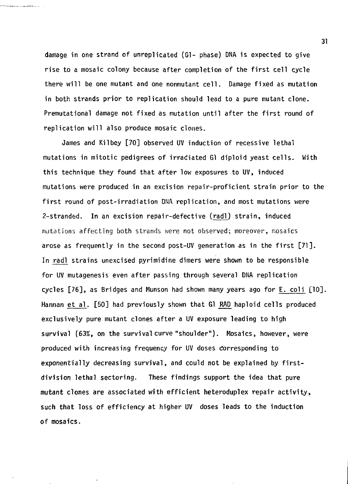**damage in one strand of unreplicated (Gl- phase) DNA is expected to give rise to a mosaic colony because after completion of the first cell cycle there will be one mutant and one nonmutant cell. Damage fixed as mutation in both strands prior to replication should lead to a pure mutant clone. Premutational damage not fixed as mutation until after the first round of replication will also produce mosaic clones.**

.<br>Politikanski priznatnički priznata

**James and Kilbey [70] observed UV induction of recessive lethal mutations in mitotic pedigrees of irradiated Gl diploid yeast cells. With this technique they found that after low exposures to UV, induced mutations were produced in an excision repair-proficient strain prior to the first round of post-irradiation DNA replication, and most mutations were 2-stranded. In an excision repair-defective (radl) strain, induced mutations affecting both strands were not observed; moreover, ir.osaics arose as frequently in the second post-UV generation as in the first [71]. In radl strains unexcised pyrimidine dimers were shown to be responsible for UV mutagenesis even after passing through several DNA replication cycles [76], as Bridges and Munson had shown many years ago for E. coli [10]. Hannan et al. [50] had previously shown that Gl RAD haploid cells produced exclusively pure mutant clones after a UV exposure leading to high survival (63%, on the survival curve "shoulder"). Mosaics, however, were produced with increasing frequency for UV doses Corresponding to exponentially decreasing survival, and could not be explained by firstdivision lethal sectoring. These findings support the idea that pure mutant clones are associated with efficient heteroduplex repair activity, such that loss of efficiency at higher UV doses leads to the induction of mosaics.**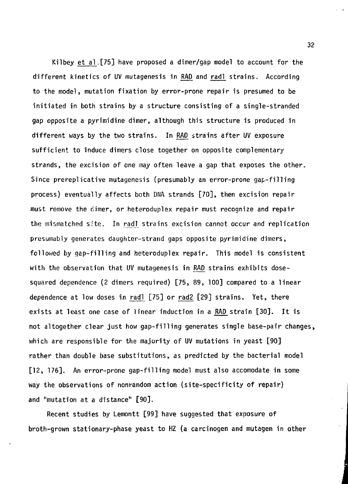Ki1 bey et al.[75] have proposed a dimer/gap model to account for the different kinetics of UV mutagenesis in RAD and radl strains. According to the model, mutation fixation by error-prone repair is presumed to be initiated in both strains by a structure consisting of a single-stranded gap opposite a pyrimidine dimer, although this structure is produced in different ways by the two strains. In RAD strains after UV exposure sufficient to induce dimers close together on opposite complementary strands, the excision of one may often leave a gap that exposes the other. Since prereplicative mutagenesis (presumably an error-prone gap-filling process) eventually affects both DNA strands [70], then excision repair must remove the dimer, or heteroduplex repair must recognize and repair the mismatched site. In radl strains excision cannot occur and replication presumably generates daughter-strand gaps opposite pyrimidine dimers, followed by gap-filling and heteroduplex repair. This model is consistent with the observation that UV mutagenesis in RAD strains exhibits dosesquared dependence (2 dimers required) [75, 89, 100] compared to a linear dependence at low doses in radl [75] or rad2 [29] strains. Yet, there exists at least one case of linear induction in a RAD strain [30]. It is not altogether clear just how gap-filling generates single base-pair changes, which are responsible for the majority of UV mutations in yeast [90] rather than double base substitutions, as predicted by the bacterial model [12, 176]. An error-prone gap-filling model must also accomodate in some way the observations of nonrandom action (site-specificity of repair) and "mutation at a distance" [90].

Recent studies by Lemontt [99] have suggested that exposure of broth-grown stationary-phase yeast to HZ (a carcinogen and mutagen in other

32

**J**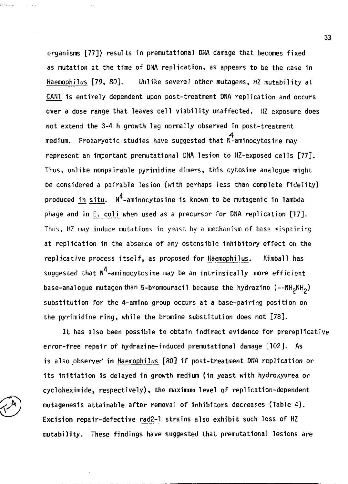**organisms [77]) results in premutational DNA damage that becomes fixed as mutation at the time of DNA replication, as appears to be the case in Haemophilus [79, 80]. Unlike several other mutagens, HZ mutability at CAN! is entirely dependent upon post-treatment DNA replication and occurs over a dose range that leaves cell viability unaffected. HZ exposure does not extend the 3-4 h growth lag normally observed in post-treatment** Prokaryotic studies have suggested that N-aminocytosine may medium. represent an important premutational DNA lesion to HZ-exposed cells [77]. Thus, unlike nonpairable pyrimidine dimers, this cytosine analoque might be considered a pairable lesion (with perhaps less than complete fidelity) produced in situ. N<sup>4</sup>-aminocytosine is known to be mutagenic in lambda phage and in E. coli when used as a precursor for DNA replication [17]. Thus, HZ may induce mutations in yeast by a mechanism of base mispairing at replication in the absence of any ostensible inhibitory effect on the replicative process itself, as proposed for Haemophilus. Kimball has suggested that N<sup>4</sup>-aminocytosine may be an intrinsically more efficient base-analogue mutagen than 5-bromouracil because the hydrazino (--NH<sub>2</sub>NH<sub>2</sub>) substitution for the 4-amino group occurs at a base-pairing position on the pyrimidine ring, while the bromine substitution does not [78].

It has also been possible to obtain indirect evidence for prereplicative **Interal 2** also be possible to the induced premutational damage [102]. As is also observed in Haemophilus [80] if post-treatment DNA replication or its initiation is delayed in growth medium (in yeast with hydroxyurea or cycloheximide, respectively), the maximum level of replication-dependent mutagenesis attainable after removal of inhibitors decreases (Table 4). Excision repair-defective rad2-1 strains also exhibit such loss of HZ mutability. These findings have suggested that premutational lesions are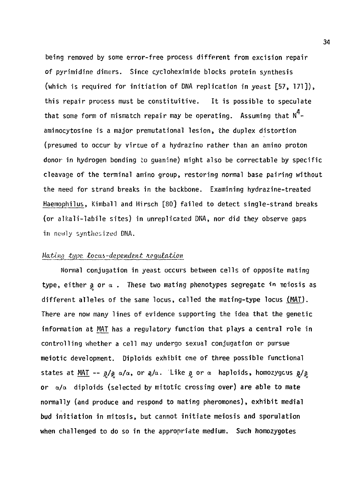being removed by some error-free process different from excision repair of pyrinridine dimers. Since cycloheximide blocks protein synthesis (which is required for initiation of DNA replication in yeast [57, 171]), this repair process must be constitutive. It is possible to speculate 4 that some form of mismatch repair may be operating. Assuming that N aminocytosine is a major premutational lesion, the duplex distortion (presumed to occur by virtue of a hydrazino rather than an amino proton donor in hydrogen bonding to guanine) might also be correctable by specific cleavage of the terminal amino group, restoring normal base pairing without the need for strand breaks in the backbone. Examining hydrazine-treated Haemophilus, Kimball and Hirsch [80] failed to detect single-strand breaks (or alkali-labile sites) in unreplicated DNA, nor did they observe gaps in newly synthesized DMA.

#### Mating type locus-dependent regulation

Normal conjugation in yeast occurs between cells of opposite mating type, either  $a \circ a$ . These two mating phenotypes segregate in neiosis as different alleles of the same locus, called the mating-type locus (MAT). There are now many lines of evidence supporting the idea that the genetic information at MAT has a regulatory function that plays a central role in controlling whether a cell may undergo sexual conjugation or pursue meiotic development. Diploids exhibit one of three possible functional states at MAT --  $a/a$ ,  $a/a$ , or  $a/a$ . Like  $a$  or  $\alpha$  haploids, homozygcus  $a/a$ or  $\alpha/\alpha$  diploids (selected by mitotic crossing over) are able to mate normally (and produce and respond to mating pheromones), exhibit medial bud initiation in mitosis, but cannot initiate meiosis and sporulation when challenged to do so in the appropriate medium. Such homozygotes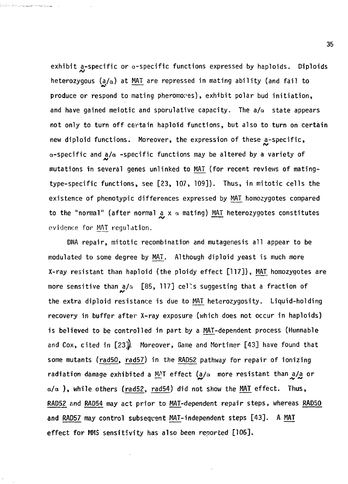exhibit a-specific or a-specific functions expressed by haploids. Diploids heterozygous ( $a/a$ ) at MAT are repressed in mating ability (and fail to produce or respond to mating pheromones), exhibit polar bud initiation, and have gained meiotic and sporulative capacity. The  $a/\alpha$  state appears not only to turn off certain haploid functions, but also to turn on certain new diploid functions. Moreover, the expression of these a-specific,  $\alpha$ -specific and  $\alpha$ / $\alpha$  -specific functions may be altered by a variety of mutations in several genes unlinked to MAT (for recent reviews of matingtype-specific functions, see [23, 107, 109]). Thus, in mitotic cells the existence of phenotypic differences expressed by MAT homozygotes compared to the "normal" (after normal  $\alpha$  x  $\alpha$  mating) MAT heterozygotes constitutes evidence for MAT regulation.

.<br>Lilialis titolograpiana romanicu La

DNA repair, mitotic recombination and mutagenesis all appear to be modulated to some degree by MAT. Although diploid yeast is much more X-ray resistant than haploid (the ploidy effect [117]), MAT homozygotes are more sensitive than  $a/a$  [85, 117] cells suggesting that a fraction of the extra diploid resistance is due to MAT heterozygosity. Liquid-holding recovery in buffer after X-ray exposure (which does not occur in haploids) is believed to be controlled in part by a MAT-dependent process (Hunnable and Cox, cited in  $[23]$ . Moreover, Game and Mortimer  $[43]$  have found that some mutants (rad50, rad57) in the RAD52 pathway for repair of ionizing radiation damage exhibited a MAT effect  $(a/\alpha$  more resistant than  $a/a$  or  $\alpha/\alpha$  ), while others (rad52, rad54) did not show the MAT effect. Thus, RAD52 and RAD54 may act prior to MAT-dependent repair steps, whereas RAD50 and RAD57 may control subsequent MAT-independent steps [43]. A MAT effect for MMS sensitivity has also been reported [106].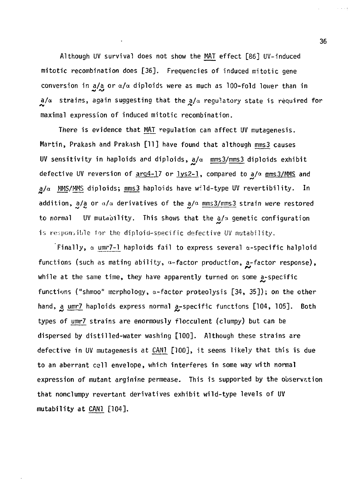Although UV survival does not show the MAT effect [86] UV-induced mitotic recombination does [36]. Frequencies of induced mitotic gene conversion in  $a/a$  or  $a/a$  diploids were as much as 100-fold lower than in  $a/\alpha$  strains, again suggesting that the  $a/\alpha$  regulatory state is required for maximal expression of induced mitotic recombination.

There is evidence that MAT regulation can affect UV mutagenesis. Martin, Prakash and Prak.ish [11] have found that although mms3 causes UV sensitivity in haploids ard diploids,  $a/\alpha$  mms3/mms3 diploids exhibit defective UV reversion of  $arg4-17$  or  $1ys2-1$ , compared to  $a/\alpha$  mms3/MMS and  $a/\alpha$  MMS/MMS diploids; mms3 haploids have wild-type UV revertibility. In addition,  $a/a$  or  $a/a$  derivatives of the  $a/a$  mms3/mms3 strain were restored to normal UV mutability. This shows that the  $a/\alpha$  genetic configuration is responsible for the diploid-specific defective UV mutability.

Finally,  $\alpha$  umr7-1 haploids fail to express several  $\alpha$ -specific halploid functions (such as mating ability,  $\alpha$ -factor production,  $\alpha$ -factor response), while at the same time, they have apparently turned on some  $a$ -specific functions ("shmoo" merphology,  $\alpha$ -factor proteolysis [34, 35]); on the other hand, a umr7 haploids express normal a-specific functions [104, 105]. Both types of umr7 strains are enormously flocculent (clumpy) but can be dispersed by distilled-water washing [100]. Although these strains are defective in UV mutagenesis at CAN1 [100], it seems likely that this is due to an aberrant cell envelope, which interferes in some way with normal expression of mutant arginine permease. This is supported by the observation that nonclumpy revertant derivatives exhibit wild-type levels of UV mutability at CAN! [104].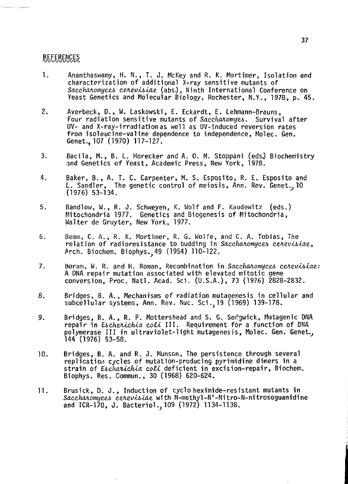### REFERENCES

.<br>Petrolista eta aldea de alderen era

- 1. Ananthaswamy, H. N., T. J. McKey and R. K. Mortimer, Isolation and characterization of additional X-ray sensitive mutants of Saccharomyces cerevisiae (abs.), Ninth International Conference on Yeast Genetics and Molecular Biology, Rochester, N.Y., 1978, p. 45.
- 2. Averbeck, D., W. Laskowski, E. Eckardt, E. Lehmann-Brauns, Four radiation sensitive mutants of Saccharomyes. Survival after UV- and X-ray-irradiation as well as UV-induced reversion rates from isoleucine-valine dependence to independence, Molec. Gen. Genet., 107 (1970) 117-127.
- 3. Bacila, M., B. L. Horecker and A. 0. M. Stoppani (eds.) Biochemistry and Genetics of Yeast, Academic Press, New York, 1978.
- 4. Baker, B., A. T. C. Carpenter, M. S. Esposito, R. E. Esposito and L. Sandier, The genetic control of meiosis, Ann. Rev. Genet.. 10 (1976) 53-134.
- 5. Bandlow, W., R. J. Schweyen, K. Wolf and F. Kaudewitz (eds.) Mitochondria 1977. Genetics and Biogenesis of Mitochondria, Walter de Gruyter, New York, 1977.
- 6. Beam, C. A., R. K. Mortimer, R. G. Wolfe, and C. A. Tobias, The relation of radioresistance to budding in Saccharomyces cerevisiae, Arch. Biochem. Biophys.^49 (1954) 110-122.
- 7. Boram, W. R. and H. Roman, Recombination in Sacchatomyces cetevisiae: A DNA repair mutation associated with elevated mitotic gene conversion, Proc. Natl. Acad. Sci. (U.S.A.), 73 (1976) 2828-2832.
- 8. Bridges, B. A.» Mechanisms of radiation mutagenesis in cellular and subcellular systems, Ann. Rev. Nuc. Sci.,19 (1969) 139-178.
- 9. Bridges, B. A., R. P. Mottershead and S. G. Serfgwick, Mutagenic DNA repair in Escherichia coli III. Requirement for a function of DNA poiymerase III in ultraviolet-light mutagenesis, Molec. Gen. Genet., 144 (1976) 53-58.
- 10. Bridges, B. A. and R. J. Munson, The persistence through several replication cycles of mutation-producing pyrimidine dimers in a strain of Escherichia coli deficient in excision-repair, Biochem. Biophys. Res. Comrnun., 30 (1968) 620-624.
- 11. Brusick, D. J., Induction of cycloheximide-resistant mutants in Saccharomyces cerevisiae with N-methyl-N'-Nitro-N-nitrosoguanidine and ICR-170, J. Bacteriol., 109 (1972) 1134-1138.

 $\ddot{\phantom{0}}$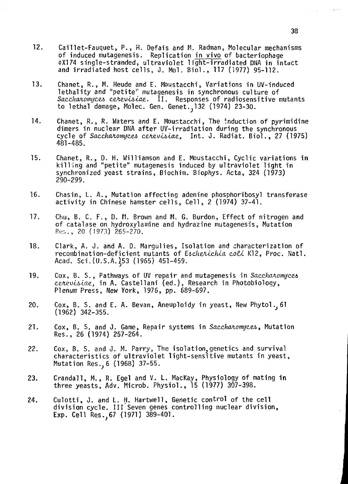- 12. Caillet-Fauquet, P., M. Defais and M. Radman, Molecular mechanisms of induced mutagenesis. Replication in vivo of bacteriophage \$X174 single-stranded, ultraviolet light-irradiated DNA in intact and irradiated host cells, J. Mol. Biol., 117 (1977) 95-112,
- 13. Chanet, R., M. Heude and E. Moustacchi, Variations in UV-induced lethality and "petite" mutagenesis in synchronous culture of Saccharomyces cerevisiae.  $\overline{11}$ . Responses of radiosensitive mutants to lethal damage, Molec. Gen. Genet.;132 (1974) 23-30.
- 14. Chanet, R., R. Waters and E. Moustacchi, The induction of pyrimidine dimers in nuclear DNA after UV-irradiation during the synchronous cycle of Saccharomyces cerevisiae, Int. J. Radiat. Biol., 27 (1975) 481-485.
- 15. Chanet, R., D. H. Williamson and E. Moustacchi, Cyclic variations in killing and "petite" mutagenesis induced by ultraviolet light in synchronized yeast strains, Biochim. Biophys. Acta, 324 (1973) 290-299.
- 16. Chasin, L. A., Mutation affecting adenine phosphoribosyl transferase activity in Chinese hamster cells, Cell, 2 (1974) 37-41.
- 17. Chu, B. C. F., D. H. Brown and M. G. Burdon, Effect of nitrogen and of catalase on hydroxylamine and hydrazine mutagenesis, Mutation Re:,., 20 (1973) 265-270.
- 18. Clark, A. J. and A. D. Margulies, Isolation and characterization of recombination-deficient mutants of Escherichia coli K12, Proc. Natl. Acad. Sci.(U.S.A.}53 (1965) 451-459.
- 19. Cox, B. S., Pathways of UV repair and mutagenesis in Saccharomyces cenevisiae, in A. Castellani (ed.), Research in Photobiology, Plenum Press, New York, 1976, pp. 689-697.
- 20. Cox, B. S. and E. A. Bevan, Aneuploidy in yeast, New Phytol. 61 (1962) 342-355.
- 21. Cox, B. S. and J. Game, Repair systems in Saccharomyces, Mutation Res., 26 (1974) 257-264.
- 22. Cox, B. S. and J. M. Parry, The isolation;genetics and survival characteristics of ultraviolet light-sensitive mutants in yeast, Mutation Res.;6 (1968) 37-55.
- 23. Crandall, M., R. Egel and V. L. MacKay, Physiology of mating in three yeasts, Adv. Microb. Physiol., 15 (1977) 307-398.
- 24. Culotti, J. and L. H. Hartwell, Genetic control of the cell division cycle. Ill Seven genes controlling nuclear division, Exp. Cell Res.,67 (1971) 389-401.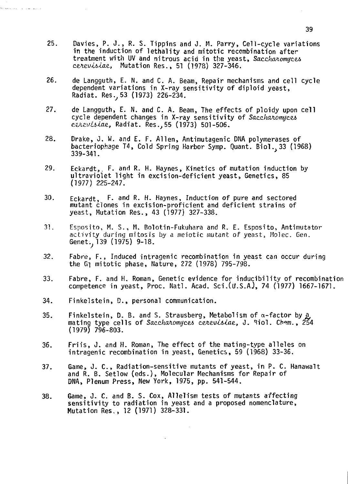- 25. Davies, P. J. , R. S. Tippins and J. M. Parry, Cell-cycle variations in the induction of lethality and mitotic recombination after treatment with UV and nitrous acid in the yeast, Saccharomyces cerevisiae, Mutation Res., 51 (1978) 327-346.
- 26. de Langguth, E. N. and C. A. Beam, Repair mechanisms and cell cycle dependent variations in X-ray sensitivity of diploid yeast, Radiat. Res., 53 (1973) 226-234.
- 27. de Langguth, E. N. and C. A. Beam, The effects of ploidy upon cell cycle dependent changes in X-ray sensitivity of Saccharomyces  $c$ erevisiae, Radiat. Res., 55 (1973) 501-506.
- 28. Drake, J. W. and E. F. Allen, Antimutagenic DNA polymerases of bacteriophage T4, Cold Spring Harbor Symp. Quant. Biol..33 (1968) 339-341.
- 29. Eckardt,. F. and R. H. Haynes, Kinetics of mutation induction by ultraviolet light in excision-deficient yeast, Genetics, 85 (1977) 225-247.
- 30. Eckardt, F. and R. H. Haynes, Induction of pure and sectored mutant clones in excision-proficient and deficient strains of yeast, Mutation Res., 43 (1977) 327-338.
- 31. Esposito, M. S., H. Bolotin-Fukuhara and R. E. Esposito, Antimutator activity during mitosis by a meiotic mutant of yeast, Molec. Gen. Genet., 139 (1975) 9-18.
- 32. Fabre, F., Induced intragenic recombination in yeast can occur during the G] mitotic phase, Nature, 272 (1978) 795-798.
- 33. Fabre, F. and H. Roman, Genetic evidence for inducibility of recombination competence in yeast, Proc. Natl. Acad. Sci.(t/.S.Aj, 74 (1977) 1667-1671.
- 34. Finkelstein, D., personal communication.

والمتفارقة المحارب

- 35. Finkelstein, D. B. and S. Strausberg, Metabolism of  $\alpha$ -factor by  $\partial$ , mating type cells of Saccharomyces cerevisiae, J. Riol. Chem., 254 (1979) 796-803.
- 36. Friis, J. and H. Roman, The effect of the mating-type alleles on intragenic recombination in yeast, Genetics, 59 (1968) 33-36.
- 37. Game, J. C., Radiation-sensitive mutants of yeast, in P. C. Hanawalt and R. B. Setlow (eds.), Molecular Mechanisms for Repair of DNA, Plenum Press, New York, 1975, pp. 541-544.
- 38. Game, J. C. and B. S. Cox, Allelism tests of mutants affecting sensitivity to radiation in yeast and a proposed nomenclature, Mutation Res., 12 (1971) 328-331.

 $\mathbf{r}$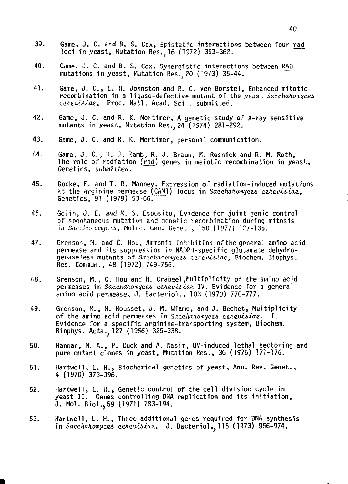- 39. Game, J. C. and B. S. Cox, Epistatic interactions between four rajd loci in yeast, Mutation Res.}16 (1972) 353-362.
- 40. Game, J. C. and B. S. Cox, Synergistic interactions between RAD mutations in yeast, Mutation Res., 20 (1973) 35-44.
- 41. Game, J. C., L. H. Johnston and R. C. von Borstel, Enhanced mitotic recombination in a ligase-defective mutant of the yeast Saccharomyces cerevisiae, Proc. Natl. Acad. Sci, submitted.
- 42. Game, J. C. and R. K. Mortimer, A genetic study of X-ray sensitive mutants in yeast, Mutation Res.  $24$  (1974) 281-292.
- 43. Game, J. C. and R. K. Mortimer, personal communication.
- 44. Game, J. C., T. J. Zamb, R. J. Braun, M. Resnick and R. M. Roth, The role of radiation (rad) genes in meiotic recombination in yeast, Genetics, submitted.
- 45. Gocke, E. and T. R. Manney, Expression of radiation-induced mutations at the arginine permease (CAN1) locus in Saccharomyces cerevisiae, Genetics, 91 (1979) 53-66.
- 46. Golin, J. E. and M. S. Esposito, Evidence for joint genie control of spontaneous mutation and genetic recombination during mitosis in Sacchardnugees, Molec. Gen. Genet., 150 (1977) 127-135.
- 47. Grenson, M. and C. Hou, Ammonia inhibition of the general amino acid permease and its suppression in NADPH-specific giutamate dehydrogenaseless mutants of Saccharomyces cerevisiae, Biochem. Biophys. Res. Commun., 48 (1972) 749-756.
- 48. Grenson, M., C. Hou and M. Crabeel.Multiplicity of the amino acid permeases in Saccharomyces cerevisiae IV. Evidence for a general amino acid permease, J. Bacteriol., 103 (1970) 770-777.
- 49. Grenson, M., M. Mousset, J. M. Wiame, and J. Bechet, Multiplicity of the amino acid permeases in Saccharomyces cerevisiae. I. Evidence for a specific arginine-transporting system, Biochem. Biophys. Acta., 127 (1966) 325-338.
- 50. Hannan, M. A., P. Duck and A. Nasim, UV-induced lethal sectoring and pure mutant clones in yeast, Mutation Res., 36 (1976) 171-176.
- 51. Hartwell, L. H., Biochemical genetics of yeast, Ann. Rev. Genet., 4 (1970) 373-396.
- 52. Hartwell, L. H., Genetic control of the cell division cycle in yeast II. Genes controlling DNA replication and its initiation, J. Mol. Biol.,59 (1971) 183-194.
- 53. Hartwell, L. H., Three additional genes required for DNA synthesis in Saccharomyces cerevisiae, J. Bacteriol. 115 (1973) 966-974.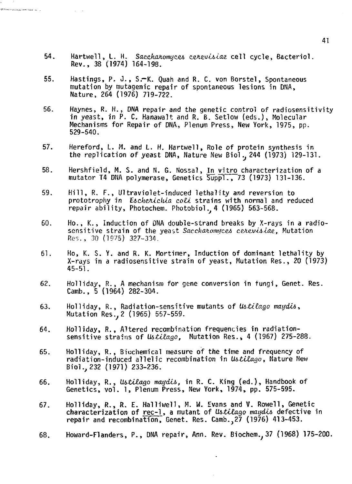54. Hartwell, L. H. Sacchanomyces cenevisiae cell cycle, Bacteriol. Rev., 38 (1974) 164-198.

.<br>2013 Martin Louis American Inc., C

- 55. Hastings, P. J., S—K. Quah and R. C. von Borstel, Spontaneous mutation by mutagenic repair of spontaneous lesions in DNA, Nature, 264 (1976) 719-722.
- 56. Haynes, R. H., DNA repair and the genetic control of radiosensitivity in yeast, in P. C. Hanawalt and R. B. Setlow (eds.), Molecular Mechanisms for Repair of DNA, Plenum Press, New York, 1975, pp. 529-540.
- 57. Hereford, L. M. and L. H. Hartwell, Role of protein synthesis in the replication of yeast DNA, Nature New Biol.,244 (1973) 129-131.
- 58. Hershfield, M. S. and N. G. Nossal, In vitro characterization of a mutator T4 DNA polymerase, Genetics Suppl., 73 (1973) 131-136.
- 59. Hill, R. F., Ultraviolet-induced lethality and reversion to prototrophy in Escherichia coli strains with normal and reduced repair ability, Photochem. Photobiol., 4 (1965) 563-568.
- 60. Ho., K., Induction of DNA double-strand breaks by X-rays in a radiosensitive strain of the yeast Saccharomyces cerevisiae, Mutation Res., 30 (1975) 327-334.
- 61. Ho, K. S. Y. and R. K. Mortimer, Induction of dominant lethality by X-rays in a radiosensitive strain of yeast, Mutation Res., 20 (1973) 45-51.
- 62. Holliday, R., A mechanism for gene conversion in fungi, Genet. Res. Camb., 5 (1964) 282-304.
- 63. Holliday, R., Radiation-sensitive mutants of Ustilago maydis, Mutation Res., 2 (1965) 557-559.
- 64. Holliday, R., Altered recombination frequencies in radiationsensitive strains of Ustilago, Mutation Res., 4 (1967) 275-288.
- 65. Holliday, R., Biochemical measure of the time and frequency of radiation-induced allelic recombination in Ustilago, Nature New Biol.,232 (1971) 233-236.
- 66. Holliday, R., Ustilago maydis, in R. C. King (ed.), Handbook of Genetics, vol. 1, Plenum Press, New York, 1974, pp. 575-595.
- 67. Holliday, R., R. E. Halliwell, M. W. Evans and V. Rowell, Genetic characterization of rec-1, a mutant of Ustilago maydis defective in repair and recombination, Genet. Res. Camb.,27 (1976) 413-453.
- 68. Howard-Flanders, P., DNA repair, Ann. Rev. Biochem., 37 (1968) 175-200.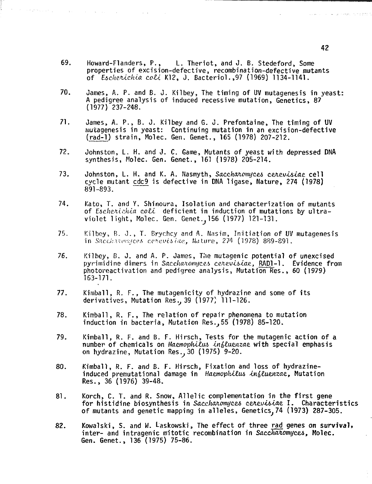69. Howard-Flanders, P., L. Theriot, and J. B. Stedeford, Some properties of excision-defective, recombination-defective mutants of Escherichia coli K12, J. Bacteriol., 97 (1969) 1134-1141.

**Contract Contract** 

 $\mathcal{F}^{\mathcal{F}}_{\mathcal{F}}$  , where  $\mathcal{F}^{\mathcal{F}}_{\mathcal{F}}$  is the contribution of the contribution of  $\mathcal{F}^{\mathcal{F}}_{\mathcal{F}}$ 

- 70. James, A. P. and B. J. Kilbey, The timing of UV mutagenesis in yeast: A pedigree analysis of induced recessive mutation, Genetics, 87 (1977) 237-248.
- 71. James, A. P., B. J. Kilbey and G. J. Prefontaine, The timing of UV mutagenesis in yeast: Continuing mutation in an excision-defective (rad-1) strain, Molec. Gen. Genet., 165 (1978) 207-212.
- 72. Johnston, L. H. and J. C. Game, Mutants of yeast with depressed DNA synthesis, Molec. Gen. Genet., 161 (1978) 205-214.
- 73. Johnston, L. H. and K. A. Nasmyth, Saccharomyces cerevisiae cell cvcle mutant cdc9 is defective in DNA ligase, Nature, 274 (1978) 891-893.
- 74. Kato, T. and Y. Shinoura, Isolation and characterization of mutants of Escherichia coli deficient in induction of mutations by ultraviolet light, Molec. Gen. Genet.^156 (1977) 121-131.
- 75. Kilboy, B. J., T. Brychcy and A. Nasim, Initiation of UV mutagenesis in Saccharesaces cerevisiae, Nature, 274 (1978) 889-891.
- 76. Kilbey, B. J. and A. P. James, The mutagenic potential of unexcised pyrimidine dimers in Sacchanomyces cenevisiae, RAD1-1. Evidence from photoreactivation and pedigree analysis, Mutation Res., 60 (1979) 163-171.
- 77. Kimball, R. F., The mutagenicity of hydrazine and some of its derivatives, Mutation Res., 39 (1977) 111-126.
- 78. Kimball, R. F., The relation of repair phenomena to mutation induction in bacteria, Mutation Res.,  $55$  (1978) 85-120.
- 79. Kimball, R. F. and B. F. Hirsch, Tests for the mutagenic action of a number of chemicals on Haemophilus influenzae with special emphasis on hydrazine, Mutation Res.,  $30$  (1975) 9-20.
- 80. Kimball, R. F. and B. F. Hirsch, Fixation and loss of hydrazineinduced premutational damage in Haemophilus influenzae. Mutation Res., 36 (1976) 39-48.
- 81. Korch, C. T. and R. Snow, Allelic complementation in the first gene for histidine biosynthesis in Saccharomyces cerevisiae I. Characteristics of mutants and genetic mapping in alleles, Genetics,74 (1973) 287-305.
- 82. Kowalski, S. and W. Laskowski, The effect of three rad genes on survival, inter- and intragenic mitotic recombination in Saccharomyces, Molec. Gen. Genet., 136 (1975) 75-86.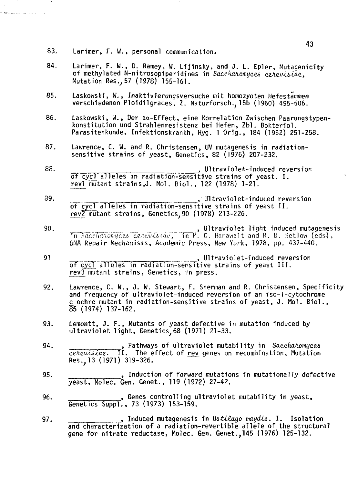83. Larimer, F. W., personal communication.

.<br>Mitomatic Lipson mension

- 84. Larimer, F. W., D. Ramey, W. Lijinsky, and J. L. Epler, Mutagenicity of methylated N-nitrosopiperidines in Saccharomyces cerevisiae. Mutation Res., 57 (1978) 155-161.
- 85. Laskowski, W., Inaktivierungsversuche mit homozyoten Hefestämmen verschiedenen Ploidilgrades, Z. Naturforsch., 15b (1960) 495-506.
- 86. Laskowski, W., Der aa-Effect, eine Korrelation Zwischen Paarungstypenkonstitution und Strahlenresistenz bei Hefen, Zbl. Bokteriol. Parasitenkunde, Infektionskrankh, Hyg. 1 Orig., 184 (1962) 251-258.
- 87. Lawrence, C. W. and R. Christensen, UV mutagenesis in radiationsensitive strains of yeast, Genetics, 82 (1976) 207-232.
- 88. **88. and the contract of the contract of the contract of the contract of the contract of the contract of the contract of the contract of the contract of the contract of the contract of the contract of the contract of** of cycl alleles in radiation-sensitive strains of yeast. I. revT~mütar)t strains,J. Mol. Biol., 122 (1978) 1-21.
- 39. \_, Ultraviolet-induced reversion of cyc^ alleles in radiation-sensitive strains of yeast II. rev2 mutant strains, Genetics,90 (1978) 213-226.
- 90. , Ultraviolet light induced mutagenesis in Sacchatomyces cercvisiae,  $\,$  in P. C. Hanawalt and R. B. Setlow (eds),  $\,$ DNA Repair Mechanisms, Academic Press, New York, 1978, pp. 437-440.
- 91 **120 III is a constructed in the Ultraviolet-induced reversion** of cycl alleles in radiation-sensitive strains of yeast III. rev3 mutant strains, Genetics, in press.
- 92. Lawrence, C. W., J. W. Stewart, F. Sherman and R. Christensen, Specificity and frequency of ultraviolet-induced reversion of an iso-1-cytochrome c ochre mutant in radiation-sensitive strains of yeast, J. Mol. Biol., 85 (1974) 137-162.
- 93. Lemontt, J. F., Mutants of yeast defective in mutation induced by ultraviolet light, Genetics,68 (1971) 21-33.
- 94. , Pathways of ultraviolet mutability in Saccharomyces cercvisiae. II. The effect of rev genes on recombination, Mutation Res., 13 (1971) 319-326.
- 95. » Induction of forward mutations in mutationally defective yeast, Molec. Gen. Genet., 119 (1972) 27-42.
- 96. , Genes controlling ultraviolet mutability in yeast, Genetics Suppl., 73 (1973) 153-159.
- 97.  $\qquad \qquad \quad \bullet$  . Induced mutagenesis in Us*tilago maydis*. I. Isolation and characterization of a radiation-revertible allele of the structural gene for nitrate reductase, Molec. Gen. Genet.,145 (1976) 125-132.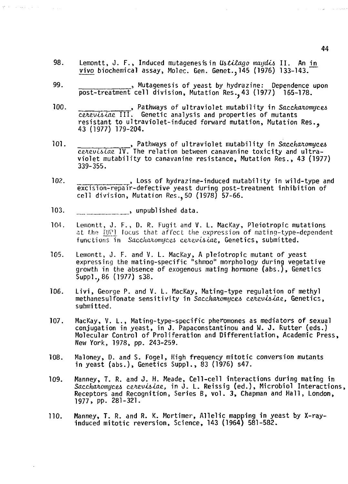- 98. Lemontt, J. F., Induced mutagenesisin Ustilago maydis II. An in vivo biochemical assay, Molec. Gen. Genet.,145 (1976) 133-143.
- 99. \_, Mutagenesis of yeast by hydrazine: Dependence upon post-treatment cell division, Mutation Res., 43 (1977) 165-178.
- 100. , Pathways of ultraviolet mutability in Saccharomyces cerevisiae III. Genetic analysis and properties of mutants resistant to ultraviolet-induced forward mutation, Mutation Res., 43 (1977) 179-204.
- 101. \_\_\_\_\_\_\_\_\_\_\_\_\_, Pathways of ultraviolet mutability in Saccharomyces  $c$ e $\alpha$ ev $i$ s $i$ ae IV. The relation between canavanine toxicity and ultraviolet mutability to canavanine resistance, Mutation Res., 43 (1977) 339-355.
- 102. , Loss of hydrazine-induced mutability in wild-type and excision-repair-defective yeast during post-treatment inhibition of cell division, Mutation Res., 50 (1978) 57-66.
- 103. \_\_, unpublished data.
- 104. Lemontt, J. F. , D. R. Fugit and V. L. MacKay, Pleiotropic mutations at the IUPI locus that affect the expression of mating-type-dependent functions in Saccharomyces cerevisiae, Genetics, submitted.
- 105. Lemontt, J. F. and V. L. MacKay, A pleiotropic mutant of yeast expressing the mating-specific "shmoo" morphology during vegetative growth in the absence of exogenous mating hormone (abs.), Genetics Supp1., 86 (1977) s38.
- 106. Livi, George P. and V. L. MacKay, Mating-type regulation of methyl methanesulfonate sensitivity in Saccharomyces cerevisiae, Genetics, submitted.
- 107. MacKay, V. L., Mating-type-specific pheromones as mediators of sexual conjugation in yeast, in J. Papaconstantinou and W. J. Rutter (eds.) Molecular Control of Proliferation and Differentiation, Academic Press, New York, 1978, pp. 243-259.
- 108. Maloney, D. and S. Fogel, High frequency mitotic conversion mutants in yeast (abs.), Genetics Suppl., 83 (1976) s47.
- 109. Manney, T. R. and J. H. Meade, Cell-cell interactions during mating in Saccharomyces cerevisiae, in J. L. Reissig (ed.), Microbiol Interactions, Receptors and Recognition, Series B, vol. 3, Chapman and Hall, London, 1977, pp. 281-321.
- 110. Manney, T. R. and R. K. Mortimer, Allelic mapping in yeast by X-rayinduced mitotic reversion, Science, 143 (1964) 581-582.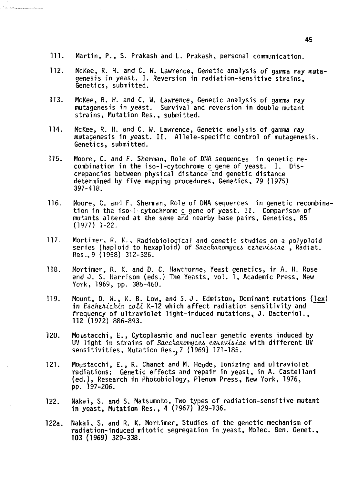- 111. Martin, P., S. Prakash and L. Prakash, personal communication.
- 112. McKee, R. H. and C. W. Lawrence, Genetic analysis of gamma ray mutagenesis in yeast. I. Reversion in radiation-sensitive strains, Genetics, submitted.
- 113. McKee, R. H. and C. W. Lawrence, Genetic analysis of gamma ray mutagenesis in yeast. Survival and reversion in double mutant strains, Mutation Res., submitted.
- 114. McKee, R. H. and C. W. Lawrence, Genetic analysis of gamma ray mutagenesis in yeast. II. Allele-specific control of mutagenesis. Genetics, submitted.
- 115. Moore, C. and F. Sherman, Role of DNA sequences in genetic recombination in the iso-1-cytochrome  $c$  gene of yeast. I. Discrepancies between physical distance and genetic distance determined by five mapping procedures, Genetics, 79 (1975) 397-418.
- 116. Moore, C. and F. Sherman, Role of DNA sequences in genetic recombination in the iso-1-cytochrome c\_ gene of yeast. II. Comparison of mutants altered at the same and nearby base pairs, Genetics, 85 (1977) 1-22.
- 117. Mortimer, R. K., Radiobioloaical and aenetic studies on a polyploid series (haploid to hexaploid) of Saccharomyces cerevisiae, Radiat. Res., 9 (1958) 312-326.
- 118. Mortimer, R. K. and D. C. Hawthorne, Yeast genetics, in A. H. Rose and J. S. Harrison (eds.) The Yeasts, vol. 1, Academic Press, New York, 1969, pp. 385-460.
- 119. Mount, D. W., K. B. Low, and S. J. Edmiston, Dominant mutations (lex) in Escherichia coli K-12 which affect radiation sensitivity and frequency of ultraviolet light-induced mutations, J. Bacteriol., 112 (1972) 886-893.
- 120. Moustacchi, E., Cytoplasmic and nuclear genetic events induced by UV light in strains of Saccharomyces cerevisiae with different UV sensitivities, Mutation Res.,7 (1969) 171-185.
- 121. Moustacchi, E., R. Chanet and M. Heude, Ionizing and ultraviolet radiations: Genetic effects and repair in yeast, in A. Castellani (ed.), Research in Photobiology, Plenum Press, New York, 1976, pp. 197-206.
- 122. Nakai, S. and S. Matsumoto, Two types of radiation-sensitive mutant in yeast, Mutation Res., 4 (1967) 129-136.
- 122a. Nakai, S. and R. K. Mortimer, Studies of the genetic mechanism of radiation-induced mitotic segregation in yeast, Molec. Gen. Genet., 103 (1969) 329-338.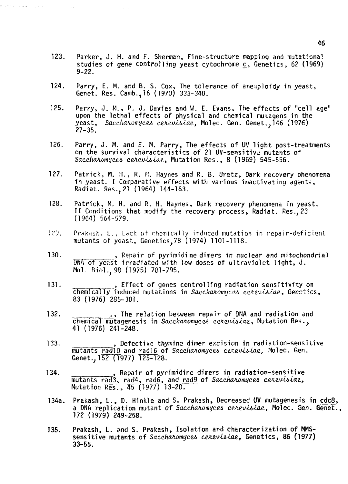123. Parker, J. H. and F. Sherman, Fine-structure mapping and mutational studies of gene controlling yeast cytochrome  $c$ , Genetics, 62 (1969) 9-22.

المواردة العيقرة والمتابعة فلاست

- 124. Parry, E. M. and B. S. Cox, The tolerance of aneuploidy in yeast, Genet. Res. Camb.,16 (1970) 333-340.
- 125. Parry, J. M., P. J. Davies and W. E. Evans, The effects of "cell age" upon the lethal effects of physical and chemical mutagens in the yeast, Saccharomyces cerevisiae. Molec. Gen. Genet.. 146 (1976) 27-35.
- 126. Parry, J. M. and E. M. Parry, The effects of UV light post-treatments on the survival characteristics of 21 UV-sensitive mutants of Saccharomyces cerevisiae, Mutation Res., 8 (1969) 545-556.
- 127. Patrick, M. H., R. H. Haynes and R. B. Uretz, Dark recovery phenomena in yeast. I Comparative effects with various inactivating agents, Radiat. Res., 21 (1964) 144-163.
- 128. Patrick, M. H. and R. H. Haynes, Dark recovery phenomena in yeast. II Conditions that modify the recovery process, Radiat. Res., 23 (1964) 564-579.
- 129. Prakash, L., Lack of chemically induced mutation in repair-deficient mutants of yeast, Genetics//8 (1974) 1101-1118.
- 130. , Repair of pyrimidine dimers in nuclear and mitochondrial DNA of yeast irradiated with low doses of ultraviolet light, J. Mol. Biol., 98 (1975) 781-795.
- 131. **Example 20**, Effect of genes controlling radiation sensitivity on chemically induced mutations in Saccharomyces cerevisiae, Genetics, 83 (1976) 285-301.
- 132. . . . The relation between repair of DNA and radiation and chemical mutagenesis in Saccharomyces cerevisiae, Mutation Res., 41 (1976) 241-248.
- 133. **Example 2.** Defective thymine dimer excision in radiation-sensitive mutants rad10 and rad16 of Saccharomyces cerevisiae, Molec. Gen. Genet., 152 (1977) 125-128.
- 134. , Repair of pyrimidine dimers in radiation-sensitive mutants rad3, rad4, rad6, and rad9 of Saccharomyces cerevisiae, Mutation<sup>Res</sup>., 45<sup>(1977)</sup> 13-20.
- 134a. Prakash, L., D. Hinkle and S. Prakash, Decreased UV mutagenesis in cdc8, a DNA replication mutant of Saccharomyces cerevisiae, Molec. Gen. Genet., 172 (1979) 249-258.
- 135. Prakash, L. and S. Prakash, Isolation and characterization of MMSsensitive mutants of Saccharomyces cerevisiae, Genetics, 86 (1977) 33-55.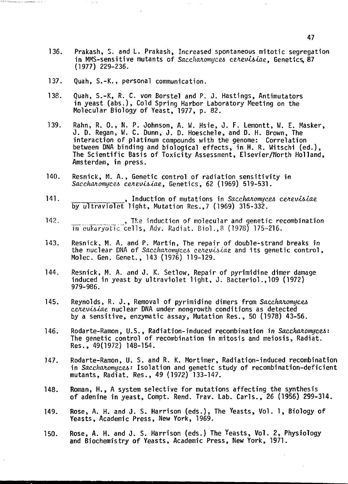- 136. Prakash, S. and L. Prakash, Increased spontaneous mitotic segregation in MMS-sensitive mutants of Saccharomyces cerevisiae, Genetics 87 (1977) 229-236.
- 137. Quah, S.-K., personal communication.
- 138. Quah, S.-K, R. C. von Borstel and P. J. Hastings, Antimutators in yeast (abs.), Cold Spring Harbor Laboratory Meeting on the Molecular Biology of Yeast, 1977, p. 82.
- 139. Rahn, R. 0., N. P. Johnson, A. W. Hsie, J. F. Lemontt, W. E. Masker, J. D. Regan, W. C. Dunn, J. D. Hoeschele, and D. H. Brown, The interaction of platinum compounds with the genome: Correlation between DNA binding and biological effects, in H. R. Witschi (ed.), The Scientific Basis of Toxicity Assessment, Elsevier/North Holland, Amsterdam, in press.
- 140. Resnick, M. A., Genetic control of radiation sensitivity in Saccharomyces cerevisiae, Genetics, 62 (1969) 519-531.
- 141. , Induction of mutations in Saccharomyces cerevisiae. by ultraviolet light, Mutation Res.,7 (1969) 315-332.
- 142.  $\blacksquare$ , The induction of molecular and genetic recombination  $\overline{\text{in}}$  eukaryotic cells, Adv. Radiat. Biol.,8 (1978) 175-216.
- 143. Resnick, M. A. and P. Martin, The repair of double-strand breaks in the nuclear DNA of Saccharomyces cerevisiae and its genetic control, Molec. Gen. Genet., 143 (1976) 119-129.
- 144. Resnick, M. A. and J. K. Setlow, Repair of pyrimidine dimer damage induced in yeast by ultraviolet light, J. Bacteriol.,109 (1972) 979-986.
- 145. Reynolds, R. J., Removal of pyrimidine dimers from Saccharomyces cerevisine nuclear DNA under nongrowth conditions as detected by a sensitive, enzymatic assay, Mutation Res., 50 (1978) 43-56.
- 146. Rodarte-Ramon, U.S., Radiation-induced recombination in Saccharomyces: The genetic control of recombination in mitosis and meiosis, Radiat. Res., 49(1972) 148-154.
- 147. Rodarte-Ramon, U. S. and R. K. Mortimer, Radiation-induced recombination in Saccharomuces: Isolation and genetic study of recombination-deficient mutants, Radiat. Res., 49 (1972) 133-147.
- 148. Roman, H., A system selective for mutations affecting the synthesis of adenine in yeast, Compt. Rend. Trav. Lab. Carls., 26 (1956) 299-314.
- 149. Rose, A. H. and J. S. Harrison (eds.), The Yeasts, Vol. 1, Biology of Yeasts, Academic Press, New York, 1969.
- 150. Rose, A. H. and J. S. Harrison (eds.) The Yeasts, Vol. 2, Physiology and Biochemistry of Yeasts, Academic Press, New York, 1971.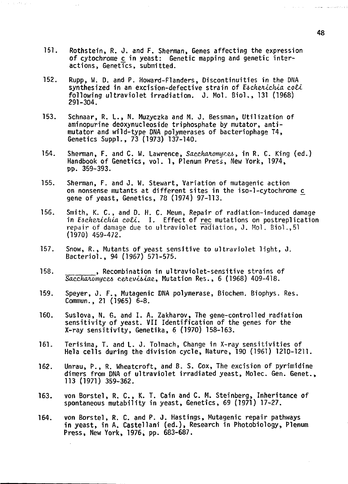151. Rothstein, R. J. and F. Sherman, Genes affecting the expression of cytochrome c in yeast: Genetic mapping and genetic interactions, Genetics, submitted.

and strains

- 152. Rupp, W. D. and P. Howard-Flanders, Discontinuities in the DNA synthesized in an excision-defective strain of Escherichia coli following ultraviolet irradiation. J. Mol. Biol., 131 (1968) 291-304.
- 153. Schnaar, R. L., N. Muzyczka and M. J. Bessman, Utilization of aminopurine deoxynucleoside triphosphate by mutator, antimutator and wild-type DNA polymerases of bacteriophage T4, Genetics Suppl., 73 (1973) 137-140.
- 154. Sherman, F. and C. W. Lawrence, Saccharomyces, in R. C. King (ed.) Handbook of Genetics, vol. 1, Plenum Press, New York, 1974, pp. 359-393.
- 155. Sherman, F. and J. W. Stewart, Variation of mutagenic action on nonsense mutants at different sites in the iso-1-cytochrome c gene of yeast, Genetics, 78 (1974) 97-113.
- 156. Smith, K. C., and D. H. C. Meun, Repair of radiation-induced damage in Escherichia coli. I. Effect of rec mutations on postreplication repair of damage due to ultraviolet radiation, J. Mol. Biol.,51 (1970) 459-472.
- 157. Snow, R., Mutants of yeast sensitive to ultraviolet light, J. Bacteriol., 94 (1967) 571-575.
- 158. **158.** Alecombination in ultraviolet-sensitive strains of Saccharomyces cerevisiae, Mutation Res., 6 (1968) 409-418.
- 159. Speyer, J. F., Mutagenic DNA polymerase, Biochem. Biophys. Res. Commun., 21 (1965) 6-8.
- 160. Suslova, N. G. and I. A. Zakharov, The gene-controlled radiation sensitivity of yeast. VII Identification of the genes for the X-ray sensitivity, Genetika, 6 (1970) 158-163.
- 161. Terisima, T. and L. J. Tolmach, Change in X-ray sensitivities of Hela cells during the division cycle, Nature, 190 (1961) 1210-1211.
- 162. Unrau, P., R. Wheatcroft, and B. S. Cox, The excision of pyrimidine dimers from DNA of ultraviolet irradiated yeast, Molec. Gen. Genet., 113 (1971) 359-362.
- 163. von Borstel, R. C., K. T. Cain and C. M. Steinberg, Inheritance of spontaneous mutability in yeast, Genetics, 69 (1971) 17-27.
- 164. von Borstel, R. C. and P. J. Hastings, Mutagenic repair pathways in yeast, in A. Castellani (ed.), Research in Photobiology, Plenum Press, New York, 1976, pp. 683-687.

licence in the component and construction in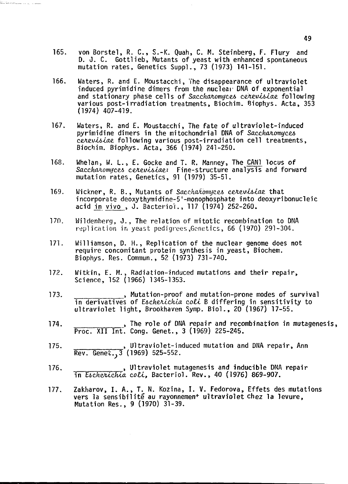165. von Borstel, R. C., S.-K. Quah, C. M. Steinberg, F. Flury and D. J. C. Gottlieb, Mutants of yeast with enhanced spontaneous mutation rates, Genetics Suppl., 73 (1973) 141-151.

Col tarapropas in 1000 mes

- 166. Waters, R. and E. Moustacchi, The disappearance of ultraviolet induced pyrimidine dimers from the nuclear DNA of exponential and stationary phase cells of Saccharomyces cerevisiae following various post-irradiation treatments, Biochim. Biophys. Acta, 353 (1974) 407-419.
- 167. Waters, R. and E. Moustacchi, The fate of ultraviolet-induced pyrimidine dimers in the mitochondrial DNA of Saccharomyces cerevisiae following various post-irradiation cell treatments, Biochim. Biophys. Acta, 366 (1974) 241-250.
- 168. Whelan, W. L., E. Gocke and T. R. Manney, The **CANT** locus of Saccharomyces cerevisiae: Fine-structure analysis and forward mutation rates, Genetics, 91 (1979) 35-51.
- 169. Wickner, R. B., Mutants of Saccharomyces cerevisiae that incorporate deoxythymidine-5'-monophosphate into deoxyribonucleic acid in vivo, J. Bacteriol., 117 (1974) 252-260.
- 170. Wildenberg, J., The relation of mitotic recombination to DNA replication in yeast pedigrees,Genetics, 66 (1970) 291-304.
- 171. Williamson, D. H., Replication of the nuclear genome does not require concomitant protein synthesis in yeast, Biochem. Biophys. Res. Commun., 52 (1973) 731-740.
- 172. Witkin, E. M., Radiation-induced mutations and their repair, Science, 152 (1966) 1345-1353.
- 173. Show that ion-proof and mutation-prone modes of survival in derivatives of Escherichia coli B differing in sensitivity to ultraviolet light, Brookhaven Symp. Bio!., 20 (1967) 17-55.
- 174. , The role of DNA repair and recombination in mutagenesis, Proc. XII Int. Cong. Genet., 3 (1969) 225-245.
- 175. , Ultraviolet-induced mutation and DNA repair, Ann Rev. Genet., 3 (1969) 525-552.
- 176. , Ultraviolet mutagenesis and inducible DNA repair In Esche $\mu$ chia coll, Bacteriol. Rev., 40 (1970) 869-907.
- 177. Zakharov, I. A., T. N. Kozina, I. V. Fedorova, Effets des mutations vers la sensibilité au rayonnemen<sup>+</sup> ultraviolet chez la levure, Mutation Res., 9 (1970) 31-39.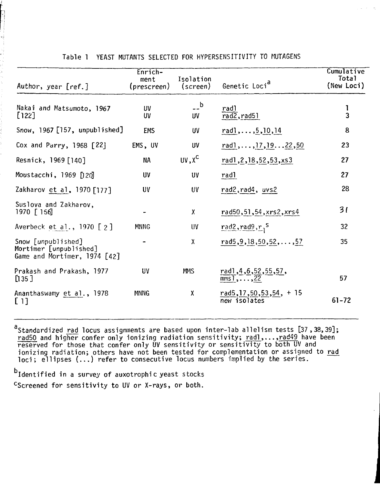| Author, year [ref.]                                                          | Enrich-<br>ment<br>(prescreen) | Isolation<br>(screen) | Genetic Loci <sup>a</sup>                    | Cumulative<br>Total<br>(New Loci) |
|------------------------------------------------------------------------------|--------------------------------|-----------------------|----------------------------------------------|-----------------------------------|
| Nakai and Matsumoto, 1967<br>$[122]$                                         | <b>UV</b><br>UV                | $-$ b<br><b>UV</b>    | rad1<br>rad2, rad51                          | 1<br>3                            |
| Snow, $1967$ [157, unpublished]                                              | <b>EMS</b>                     | UV                    | $rad1, \ldots, 5, 10, 14$                    | 8                                 |
| Cox and Parry, 1968 [22]                                                     | EMS, UV                        | UV.                   | rad],, $17, 1922, 50$                        | 23                                |
| Resnick, 1969 [140]                                                          | <b>NA</b>                      | $UV, X^C$             | rad1,2,18,52,53,xs3                          | 27                                |
| Moustacchi, 1969 [120]                                                       | U <sub>V</sub>                 | UV                    | rad1                                         | 27                                |
| Zakharov et al, 1970 [177]                                                   | <b>UV</b>                      | UV.                   | rad2, rad4, uvs2                             | 28                                |
| Suslova and Zakharov,<br>1970 [ 156]                                         |                                | X                     | rad50,51,54, xrs2, xrs4                      | 31                                |
| Averbeck et al., 1970 [2]                                                    | <b>MNNG</b>                    | UV.                   | rad2, rad9, r <sub>1</sub> <sup>S</sup>      | 32                                |
| Snow [unpublished]<br>Mortimer [unpublished]<br>Game and Mortimer, 1974 [42] |                                | X                     | rad5,9,18,50,52,,57                          | 35                                |
| Prakash and Prakash, 1977<br>[135]                                           | UV                             | <b>MMS</b>            | rad1,4,6,52,55,57,<br>$mns1, \ldots, 22$     | 57                                |
| Ananthaswamy et al., 1978<br>[1]                                             | MNNG                           | χ                     | rad5, $17, 50, 53, 54, + 15$<br>new isolates | $61 - 72$                         |

## Table 1 YEAST MUTANTS SELECTED FOR HYPERSENSITIVITY TO MUTAGENS

Standardized rad locus assignments are based upon inter-lab allelism tests [37,38,39]; rad50 and higher confer only ionizing radiation sensitivity; <u>radl,...,rad49</u> have been reserved for those that confer only UV sensitivity or sensitivity to both UV and ionizing radiation; others have not been tested for complementation or assigned to <u>rad</u> loci; ellipses (...) refer to consecutive locus numbers implied by the series.

b<br>Identified in a survey of auxotrophic yeast stocks CScreened for sensitivity to UV or X-rays, or both.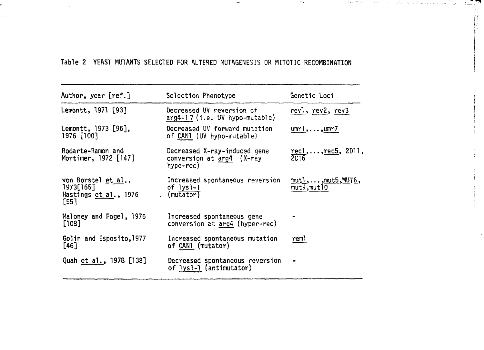| Author, year [ref.]                                                 | Selection Phenotype                                                    | Genetic Loci                                       |
|---------------------------------------------------------------------|------------------------------------------------------------------------|----------------------------------------------------|
| Lemontt, 1971 [93]                                                  | Decreased UV reversion of<br>$arg4-17$ (i.e. UV hypo-mutable)          | revl, rev2, rev3                                   |
| Lemontt, 1973 [96],<br>1976 [100]                                   | Decreased UV forward mutation<br>of CANI (UV hypo-mutable)             | $umr1, \ldots, umr7$                               |
| Rodarte-Ramon and<br>Mortimer, 1972 [147]                           | Decreased X-ray-induced gene<br>conversion at arg4 (X-ray<br>hypo-rec) | $\frac{\text{rec1}}{2C16}$ , , <u>rec5</u> , 2D11, |
| von Borstel et al.,<br>1973[165]<br>Hastings et al., 1976<br>$[55]$ | Increased spontaneous reversion<br>of lysl-l<br>(mutator)              | $mut1, \ldots, mut5, MUT6,$<br>mut9,mut10          |
| Maloney and Fogel, 1976<br>$[108]$                                  | Increased spontaneous gene<br>conversion at arg4 (hyper-rec)           |                                                    |
| Golin and Esposito, 1977<br>[46]                                    | Increased spontaneous mutation<br>of CANI (mutator)                    | rem <sub>1</sub>                                   |
| Quah et al., 1978 [138]                                             | Decreased spontaneous reversion<br>of lysl-1 (antimutator)             |                                                    |

# **Table** 2 YEAST MUTANTS SELECTED FOR ALTERED MUTAGENESIS OR MITOTIC RECOMBINATION

of the local and complete the line of continuation of the survey magnetized by Linear